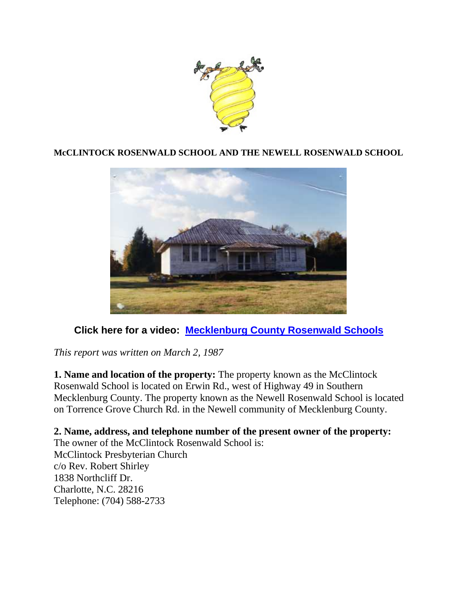

# **McCLINTOCK ROSENWALD SCHOOL AND THE NEWELL ROSENWALD SCHOOL**



# **Click here for a video: [Mecklenburg County Rosenwald Schools](https://youtube.com/watch?v=X3o1HSlcOgk)**

*This report was written on March 2, 1987*

**1. Name and location of the property:** The property known as the McClintock Rosenwald School is located on Erwin Rd., west of Highway 49 in Southern Mecklenburg County. The property known as the Newell Rosenwald School is located on Torrence Grove Church Rd. in the Newell community of Mecklenburg County.

**2. Name, address, and telephone number of the present owner of the property:** The owner of the McClintock Rosenwald School is: McClintock Presbyterian Church c/o Rev. Robert Shirley 1838 Northcliff Dr. Charlotte, N.C. 28216 Telephone: (704) 588-2733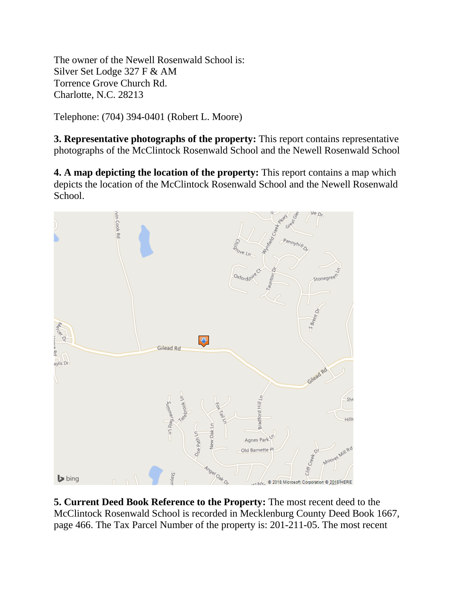The owner of the Newell Rosenwald School is: Silver Set Lodge 327 F & AM Torrence Grove Church Rd. Charlotte, N.C. 28213

Telephone: (704) 394-0401 (Robert L. Moore)

**3. Representative photographs of the property:** This report contains representative photographs of the McClintock Rosenwald School and the Newell Rosenwald School

**4. A map depicting the location of the property:** This report contains a map which depicts the location of the McClintock Rosenwald School and the Newell Rosenwald School.



**5. Current Deed Book Reference to the Property:** The most recent deed to the McClintock Rosenwald School is recorded in Mecklenburg County Deed Book 1667, page 466. The Tax Parcel Number of the property is: 201-211-05. The most recent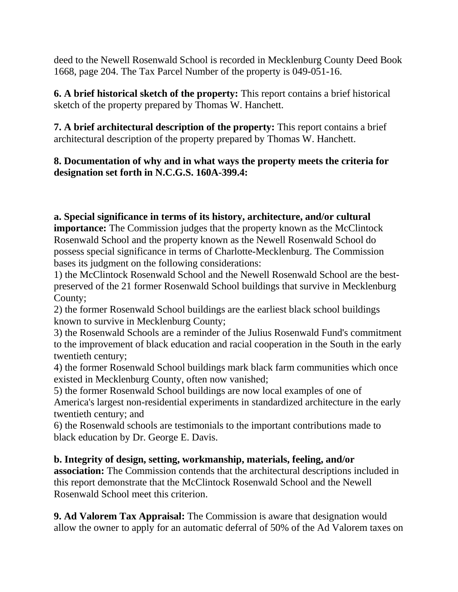deed to the Newell Rosenwald School is recorded in Mecklenburg County Deed Book 1668, page 204. The Tax Parcel Number of the property is 049-051-16.

**6. A brief historical sketch of the property:** This report contains a brief historical sketch of the property prepared by Thomas W. Hanchett.

**7. A brief architectural description of the property:** This report contains a brief architectural description of the property prepared by Thomas W. Hanchett.

# **8. Documentation of why and in what ways the property meets the criteria for designation set forth in N.C.G.S. 160A-399.4:**

**a. Special significance in terms of its history, architecture, and/or cultural importance:** The Commission judges that the property known as the McClintock Rosenwald School and the property known as the Newell Rosenwald School do possess special significance in terms of Charlotte-Mecklenburg. The Commission bases its judgment on the following considerations:

1) the McClintock Rosenwald School and the Newell Rosenwald School are the bestpreserved of the 21 former Rosenwald School buildings that survive in Mecklenburg County;

2) the former Rosenwald School buildings are the earliest black school buildings known to survive in Mecklenburg County;

3) the Rosenwald Schools are a reminder of the Julius Rosenwald Fund's commitment to the improvement of black education and racial cooperation in the South in the early twentieth century;

4) the former Rosenwald School buildings mark black farm communities which once existed in Mecklenburg County, often now vanished;

5) the former Rosenwald School buildings are now local examples of one of America's largest non-residential experiments in standardized architecture in the early twentieth century; and

6) the Rosenwald schools are testimonials to the important contributions made to black education by Dr. George E. Davis.

**b. Integrity of design, setting, workmanship, materials, feeling, and/or association:** The Commission contends that the architectural descriptions included in this report demonstrate that the McClintock Rosenwald School and the Newell Rosenwald School meet this criterion.

**9. Ad Valorem Tax Appraisal:** The Commission is aware that designation would allow the owner to apply for an automatic deferral of 50% of the Ad Valorem taxes on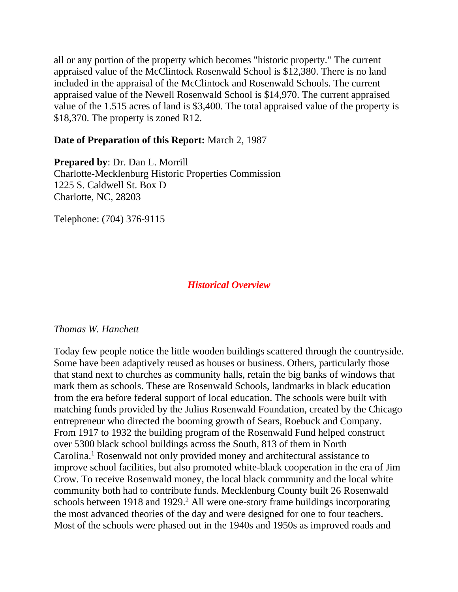all or any portion of the property which becomes "historic property." The current appraised value of the McClintock Rosenwald School is \$12,380. There is no land included in the appraisal of the McClintock and Rosenwald Schools. The current appraised value of the Newell Rosenwald School is \$14,970. The current appraised value of the 1.515 acres of land is \$3,400. The total appraised value of the property is \$18,370. The property is zoned R12.

# **Date of Preparation of this Report:** March 2, 1987

**Prepared by**: Dr. Dan L. Morrill Charlotte-Mecklenburg Historic Properties Commission 1225 S. Caldwell St. Box D Charlotte, NC, 28203

Telephone: (704) 376-9115

# *Historical Overview*

# *Thomas W. Hanchett*

Today few people notice the little wooden buildings scattered through the countryside. Some have been adaptively reused as houses or business. Others, particularly those that stand next to churches as community halls, retain the big banks of windows that mark them as schools. These are Rosenwald Schools, landmarks in black education from the era before federal support of local education. The schools were built with matching funds provided by the Julius Rosenwald Foundation, created by the Chicago entrepreneur who directed the booming growth of Sears, Roebuck and Company. From 1917 to 1932 the building program of the Rosenwald Fund helped construct over 5300 black school buildings across the South, 813 of them in North Carolina.1 Rosenwald not only provided money and architectural assistance to improve school facilities, but also promoted white-black cooperation in the era of Jim Crow. To receive Rosenwald money, the local black community and the local white community both had to contribute funds. Mecklenburg County built 26 Rosenwald schools between 1918 and 1929.<sup>2</sup> All were one-story frame buildings incorporating the most advanced theories of the day and were designed for one to four teachers. Most of the schools were phased out in the 1940s and 1950s as improved roads and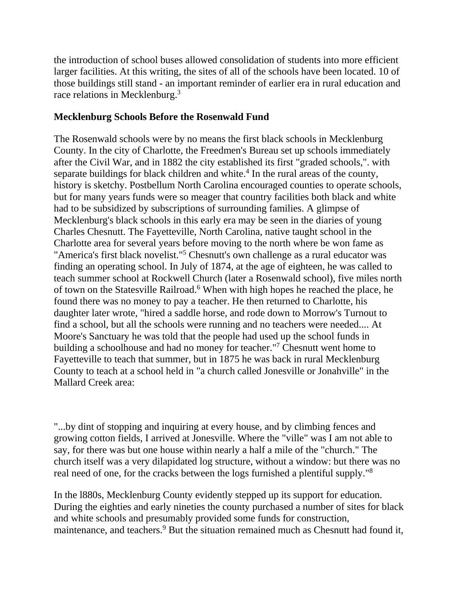the introduction of school buses allowed consolidation of students into more efficient larger facilities. At this writing, the sites of all of the schools have been located. 10 of those buildings still stand - an important reminder of earlier era in rural education and race relations in Mecklenburg.3

# **Mecklenburg Schools Before the Rosenwald Fund**

The Rosenwald schools were by no means the first black schools in Mecklenburg County. In the city of Charlotte, the Freedmen's Bureau set up schools immediately after the Civil War, and in 1882 the city established its first "graded schools,". with separate buildings for black children and white.<sup>4</sup> In the rural areas of the county, history is sketchy. Postbellum North Carolina encouraged counties to operate schools, but for many years funds were so meager that country facilities both black and white had to be subsidized by subscriptions of surrounding families. A glimpse of Mecklenburg's black schools in this early era may be seen in the diaries of young Charles Chesnutt. The Fayetteville, North Carolina, native taught school in the Charlotte area for several years before moving to the north where be won fame as "America's first black novelist."5 Chesnutt's own challenge as a rural educator was finding an operating school. In July of 1874, at the age of eighteen, he was called to teach summer school at Rockwell Church (later a Rosenwald school), five miles north of town on the Statesville Railroad.6 When with high hopes he reached the place, he found there was no money to pay a teacher. He then returned to Charlotte, his daughter later wrote, "hired a saddle horse, and rode down to Morrow's Turnout to find a school, but all the schools were running and no teachers were needed.... At Moore's Sanctuary he was told that the people had used up the school funds in building a schoolhouse and had no money for teacher."7 Chesnutt went home to Fayetteville to teach that summer, but in 1875 he was back in rural Mecklenburg County to teach at a school held in "a church called Jonesville or Jonahville" in the Mallard Creek area:

"...by dint of stopping and inquiring at every house, and by climbing fences and growing cotton fields, I arrived at Jonesville. Where the "ville" was I am not able to say, for there was but one house within nearly a half a mile of the "church." The church itself was a very dilapidated log structure, without a window: but there was no real need of one, for the cracks between the logs furnished a plentiful supply."8

In the l880s, Mecklenburg County evidently stepped up its support for education. During the eighties and early nineties the county purchased a number of sites for black and white schools and presumably provided some funds for construction, maintenance, and teachers.<sup>9</sup> But the situation remained much as Chesnutt had found it,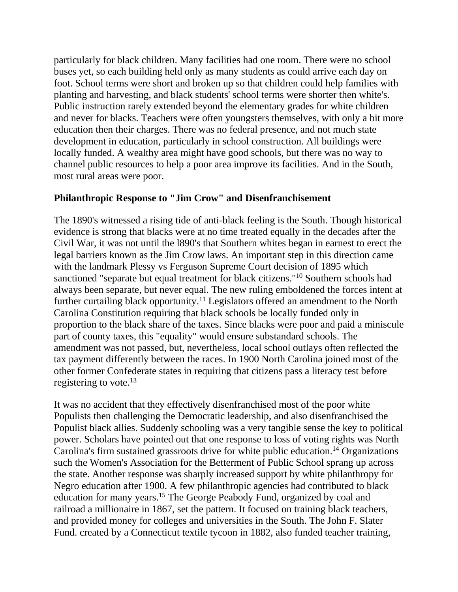particularly for black children. Many facilities had one room. There were no school buses yet, so each building held only as many students as could arrive each day on foot. School terms were short and broken up so that children could help families with planting and harvesting, and black students' school terms were shorter then white's. Public instruction rarely extended beyond the elementary grades for white children and never for blacks. Teachers were often youngsters themselves, with only a bit more education then their charges. There was no federal presence, and not much state development in education, particularly in school construction. All buildings were locally funded. A wealthy area might have good schools, but there was no way to channel public resources to help a poor area improve its facilities. And in the South, most rural areas were poor.

# **Philanthropic Response to "Jim Crow" and Disenfranchisement**

The 1890's witnessed a rising tide of anti-black feeling is the South. Though historical evidence is strong that blacks were at no time treated equally in the decades after the Civil War, it was not until the l890's that Southern whites began in earnest to erect the legal barriers known as the Jim Crow laws. An important step in this direction came with the landmark Plessy vs Ferguson Supreme Court decision of 1895 which sanctioned "separate but equal treatment for black citizens."10 Southern schools had always been separate, but never equal. The new ruling emboldened the forces intent at further curtailing black opportunity.<sup>11</sup> Legislators offered an amendment to the North Carolina Constitution requiring that black schools be locally funded only in proportion to the black share of the taxes. Since blacks were poor and paid a miniscule part of county taxes, this "equality" would ensure substandard schools. The amendment was not passed, but, nevertheless, local school outlays often reflected the tax payment differently between the races. In 1900 North Carolina joined most of the other former Confederate states in requiring that citizens pass a literacy test before registering to vote.<sup>13</sup>

It was no accident that they effectively disenfranchised most of the poor white Populists then challenging the Democratic leadership, and also disenfranchised the Populist black allies. Suddenly schooling was a very tangible sense the key to political power. Scholars have pointed out that one response to loss of voting rights was North Carolina's firm sustained grassroots drive for white public education.<sup>14</sup> Organizations such the Women's Association for the Betterment of Public School sprang up across the state. Another response was sharply increased support by white philanthropy for Negro education after 1900. A few philanthropic agencies had contributed to black education for many years.15 The George Peabody Fund, organized by coal and railroad a millionaire in 1867, set the pattern. It focused on training black teachers, and provided money for colleges and universities in the South. The John F. Slater Fund. created by a Connecticut textile tycoon in 1882, also funded teacher training,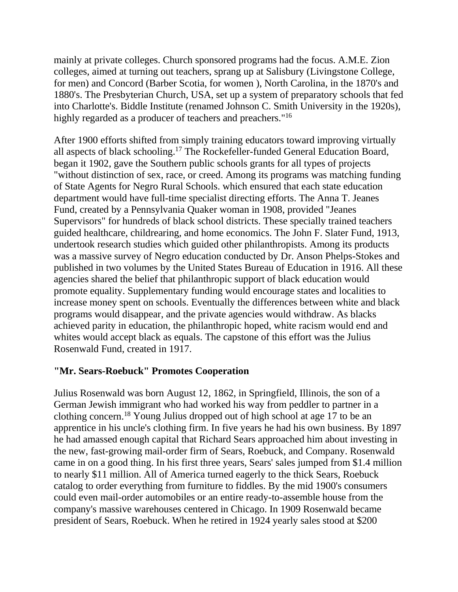mainly at private colleges. Church sponsored programs had the focus. A.M.E. Zion colleges, aimed at turning out teachers, sprang up at Salisbury (Livingstone College, for men) and Concord (Barber Scotia, for women ), North Carolina, in the 1870's and 1880's. The Presbyterian Church, USA, set up a system of preparatory schools that fed into Charlotte's. Biddle Institute (renamed Johnson C. Smith University in the 1920s), highly regarded as a producer of teachers and preachers."<sup>16</sup>

After 1900 efforts shifted from simply training educators toward improving virtually all aspects of black schooling.17 The Rockefeller-funded General Education Board, began it 1902, gave the Southern public schools grants for all types of projects "without distinction of sex, race, or creed. Among its programs was matching funding of State Agents for Negro Rural Schools. which ensured that each state education department would have full-time specialist directing efforts. The Anna T. Jeanes Fund, created by a Pennsylvania Quaker woman in 1908, provided "Jeanes Supervisors" for hundreds of black school districts. These specially trained teachers guided healthcare, childrearing, and home economics. The John F. Slater Fund, 1913, undertook research studies which guided other philanthropists. Among its products was a massive survey of Negro education conducted by Dr. Anson Phelps-Stokes and published in two volumes by the United States Bureau of Education in 1916. All these agencies shared the belief that philanthropic support of black education would promote equality. Supplementary funding would encourage states and localities to increase money spent on schools. Eventually the differences between white and black programs would disappear, and the private agencies would withdraw. As blacks achieved parity in education, the philanthropic hoped, white racism would end and whites would accept black as equals. The capstone of this effort was the Julius Rosenwald Fund, created in 1917.

# **"Mr. Sears-Roebuck" Promotes Cooperation**

Julius Rosenwald was born August 12, 1862, in Springfield, Illinois, the son of a German Jewish immigrant who had worked his way from peddler to partner in a clothing concern.18 Young Julius dropped out of high school at age 17 to be an apprentice in his uncle's clothing firm. In five years he had his own business. By 1897 he had amassed enough capital that Richard Sears approached him about investing in the new, fast-growing mail-order firm of Sears, Roebuck, and Company. Rosenwald came in on a good thing. In his first three years, Sears' sales jumped from \$1.4 million to nearly \$11 million. All of America turned eagerly to the thick Sears, Roebuck catalog to order everything from furniture to fiddles. By the mid 1900's consumers could even mail-order automobiles or an entire ready-to-assemble house from the company's massive warehouses centered in Chicago. In 1909 Rosenwald became president of Sears, Roebuck. When he retired in 1924 yearly sales stood at \$200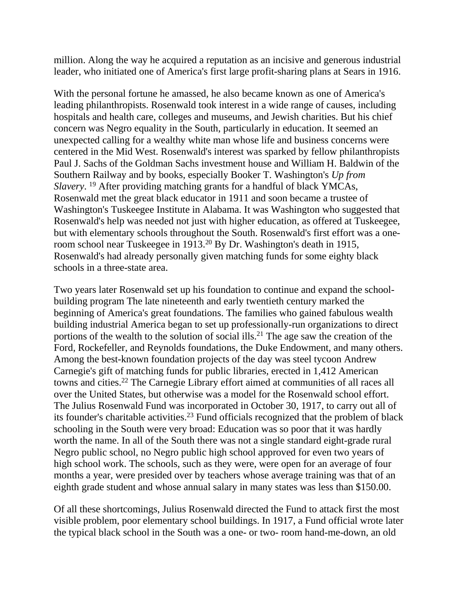million. Along the way he acquired a reputation as an incisive and generous industrial leader, who initiated one of America's first large profit-sharing plans at Sears in 1916.

With the personal fortune he amassed, he also became known as one of America's leading philanthropists. Rosenwald took interest in a wide range of causes, including hospitals and health care, colleges and museums, and Jewish charities. But his chief concern was Negro equality in the South, particularly in education. It seemed an unexpected calling for a wealthy white man whose life and business concerns were centered in the Mid West. Rosenwald's interest was sparked by fellow philanthropists Paul J. Sachs of the Goldman Sachs investment house and William H. Baldwin of the Southern Railway and by books, especially Booker T. Washington's *Up from Slavery*. <sup>19</sup> After providing matching grants for a handful of black YMCAs, Rosenwald met the great black educator in 1911 and soon became a trustee of Washington's Tuskeegee Institute in Alabama. It was Washington who suggested that Rosenwald's help was needed not just with higher education, as offered at Tuskeegee, but with elementary schools throughout the South. Rosenwald's first effort was a oneroom school near Tuskeegee in 1913.20 By Dr. Washington's death in 1915, Rosenwald's had already personally given matching funds for some eighty black schools in a three-state area.

Two years later Rosenwald set up his foundation to continue and expand the schoolbuilding program The late nineteenth and early twentieth century marked the beginning of America's great foundations. The families who gained fabulous wealth building industrial America began to set up professionally-run organizations to direct portions of the wealth to the solution of social ills.<sup>21</sup> The age saw the creation of the Ford, Rockefeller, and Reynolds foundations, the Duke Endowment, and many others. Among the best-known foundation projects of the day was steel tycoon Andrew Carnegie's gift of matching funds for public libraries, erected in 1,412 American towns and cities.22 The Carnegie Library effort aimed at communities of all races all over the United States, but otherwise was a model for the Rosenwald school effort. The Julius Rosenwald Fund was incorporated in October 30, 1917, to carry out all of its founder's charitable activities.23 Fund officials recognized that the problem of black schooling in the South were very broad: Education was so poor that it was hardly worth the name. In all of the South there was not a single standard eight-grade rural Negro public school, no Negro public high school approved for even two years of high school work. The schools, such as they were, were open for an average of four months a year, were presided over by teachers whose average training was that of an eighth grade student and whose annual salary in many states was less than \$150.00.

Of all these shortcomings, Julius Rosenwald directed the Fund to attack first the most visible problem, poor elementary school buildings. In 1917, a Fund official wrote later the typical black school in the South was a one- or two- room hand-me-down, an old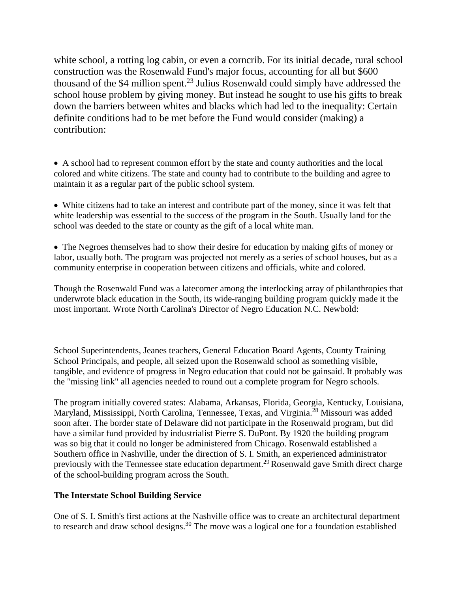white school, a rotting log cabin, or even a corncrib. For its initial decade, rural school construction was the Rosenwald Fund's major focus, accounting for all but \$600 thousand of the \$4 million spent.23 Julius Rosenwald could simply have addressed the school house problem by giving money. But instead he sought to use his gifts to break down the barriers between whites and blacks which had led to the inequality: Certain definite conditions had to be met before the Fund would consider (making) a contribution:

• A school had to represent common effort by the state and county authorities and the local colored and white citizens. The state and county had to contribute to the building and agree to maintain it as a regular part of the public school system.

• White citizens had to take an interest and contribute part of the money, since it was felt that white leadership was essential to the success of the program in the South. Usually land for the school was deeded to the state or county as the gift of a local white man.

• The Negroes themselves had to show their desire for education by making gifts of money or labor, usually both. The program was projected not merely as a series of school houses, but as a community enterprise in cooperation between citizens and officials, white and colored.

Though the Rosenwald Fund was a latecomer among the interlocking array of philanthropies that underwrote black education in the South, its wide-ranging building program quickly made it the most important. Wrote North Carolina's Director of Negro Education N.C. Newbold:

School Superintendents, Jeanes teachers, General Education Board Agents, County Training School Principals, and people, all seized upon the Rosenwald school as something visible, tangible, and evidence of progress in Negro education that could not be gainsaid. It probably was the "missing link" all agencies needed to round out a complete program for Negro schools.

The program initially covered states: Alabama, Arkansas, Florida, Georgia, Kentucky, Louisiana, Maryland, Mississippi, North Carolina, Tennessee, Texas, and Virginia.<sup>28</sup> Missouri was added soon after. The border state of Delaware did not participate in the Rosenwald program, but did have a similar fund provided by industrialist Pierre S. DuPont. By 1920 the building program was so big that it could no longer be administered from Chicago. Rosenwald established a Southern office in Nashville, under the direction of S. I. Smith, an experienced administrator previously with the Tennessee state education department.<sup>29</sup> Rosenwald gave Smith direct charge of the school-building program across the South.

### **The Interstate School Building Service**

One of S. I. Smith's first actions at the Nashville office was to create an architectural department to research and draw school designs.<sup>30</sup> The move was a logical one for a foundation established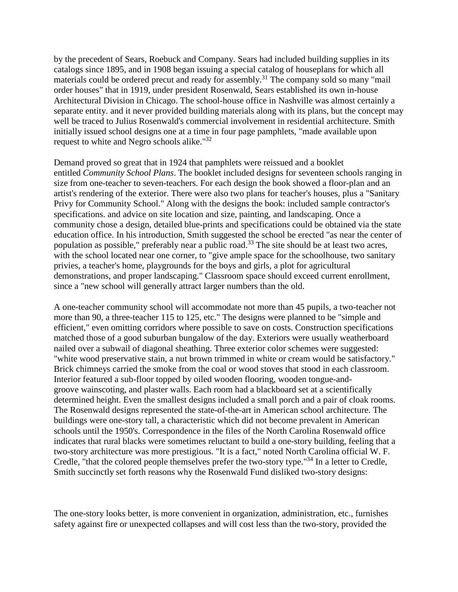by the precedent of Sears, Roebuck and Company. Sears had included building supplies in its catalogs since 1895, and in 1908 began issuing a special catalog of houseplans for which all materials could be ordered precut and ready for assembly.<sup>31</sup> The company sold so many "mail order houses" that in 1919, under president Rosenwald, Sears established its own in-house Architectural Division in Chicago. The school-house office in Nashville was almost certainly a separate entity. and it never provided building materials along with its plans, but the concept may well be traced to Julius Rosenwald's commercial involvement in residential architecture. Smith initially issued school designs one at a time in four page pamphlets, "made available upon request to white and Negro schools alike."32

Demand proved so great that in 1924 that pamphlets were reissued and a booklet entitled *Community School Plans*. The booklet included designs for seventeen schools ranging in size from one-teacher to seven-teachers. For each design the book showed a floor-plan and an artist's rendering of the exterior. There were also two plans for teacher's houses, plus a "Sanitary Privy for Community School." Along with the designs the book: included sample contractor's specifications. and advice on site location and size, painting, and landscaping. Once a community chose a design, detailed blue-prints and specifications could be obtained via the state education office. In his introduction, Smith suggested the school be erected "as near the center of population as possible," preferably near a public road.33 The site should be at least two acres, with the school located near one corner, to "give ample space for the schoolhouse, two sanitary privies, a teacher's home, playgrounds for the boys and girls, a plot for agricultural demonstrations, and proper landscaping." Classroom space should exceed current enrollment, since a "new school will generally attract larger numbers than the old.

A one-teacher community school will accommodate not more than 45 pupils, a two-teacher not more than 90, a three-teacher 115 to 125, etc." The designs were planned to be "simple and efficient," even omitting corridors where possible to save on costs. Construction specifications matched those of a good suburban bungalow of the day. Exteriors were usually weatherboard nailed over a subwail of diagonal sheathing. Three exterior color schemes were suggested: "white wood preservative stain, a nut brown trimmed in white or cream would be satisfactory." Brick chimneys carried the smoke from the coal or wood stoves that stood in each classroom. Interior featured a sub-floor topped by oiled wooden flooring, wooden tongue-andgroove wainscoting, and plaster walls. Each room had a blackboard set at a scientifically determined height. Even the smallest designs included a small porch and a pair of cloak rooms. The Rosenwald designs represented the state-of-the-art in American school architecture. The buildings were one-story tall, a characteristic which did not become prevalent in American schools until the 1950's. Correspondence in the files of the North Carolina Rosenwald office indicates that rural blacks were sometimes reluctant to build a one-story building, feeling that a two-story architecture was more prestigious. "It is a fact," noted North Carolina official W. F. Credle, "that the colored people themselves prefer the two-story type."34 In a letter to Credle, Smith succinctly set forth reasons why the Rosenwald Fund disliked two-story designs:

The one-story looks better, is more convenient in organization, administration, etc., furnishes safety against fire or unexpected collapses and will cost less than the two-story, provided the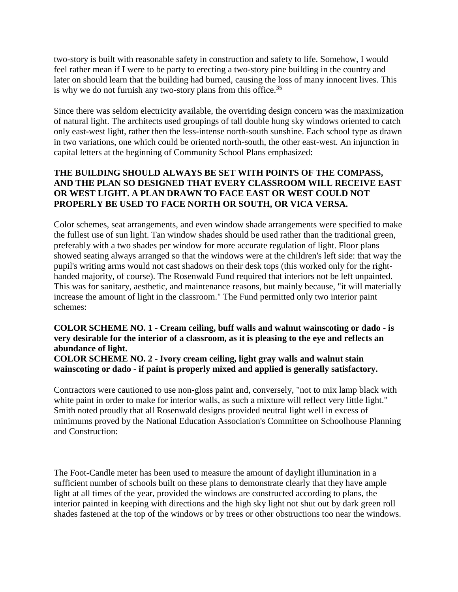two-story is built with reasonable safety in construction and safety to life. Somehow, I would feel rather mean if I were to be party to erecting a two-story pine building in the country and later on should learn that the building had burned, causing the loss of many innocent lives. This is why we do not furnish any two-story plans from this office.<sup>35</sup>

Since there was seldom electricity available, the overriding design concern was the maximization of natural light. The architects used groupings of tall double hung sky windows oriented to catch only east-west light, rather then the less-intense north-south sunshine. Each school type as drawn in two variations, one which could be oriented north-south, the other east-west. An injunction in capital letters at the beginning of Community School Plans emphasized:

## **THE BUILDING SHOULD ALWAYS BE SET WITH POINTS OF THE COMPASS, AND THE PLAN SO DESIGNED THAT EVERY CLASSROOM WILL RECEIVE EAST OR WEST LIGHT. A PLAN DRAWN TO FACE EAST OR WEST COULD NOT PROPERLY BE USED TO FACE NORTH OR SOUTH, OR VICA VERSA.**

Color schemes, seat arrangements, and even window shade arrangements were specified to make the fullest use of sun light. Tan window shades should be used rather than the traditional green, preferably with a two shades per window for more accurate regulation of light. Floor plans showed seating always arranged so that the windows were at the children's left side: that way the pupil's writing arms would not cast shadows on their desk tops (this worked only for the righthanded majority, of course). The Rosenwald Fund required that interiors not be left unpainted. This was for sanitary, aesthetic, and maintenance reasons, but mainly because, "it will materially increase the amount of light in the classroom." The Fund permitted only two interior paint schemes:

**COLOR SCHEME NO. 1 - Cream ceiling, buff walls and walnut wainscoting or dado - is very desirable for the interior of a classroom, as it is pleasing to the eye and reflects an abundance of light.** 

**COLOR SCHEME NO. 2 - Ivory cream ceiling, light gray walls and walnut stain wainscoting or dado - if paint is properly mixed and applied is generally satisfactory.**

Contractors were cautioned to use non-gloss paint and, conversely, "not to mix lamp black with white paint in order to make for interior walls, as such a mixture will reflect very little light." Smith noted proudly that all Rosenwald designs provided neutral light well in excess of minimums proved by the National Education Association's Committee on Schoolhouse Planning and Construction:

The Foot-Candle meter has been used to measure the amount of daylight illumination in a sufficient number of schools built on these plans to demonstrate clearly that they have ample light at all times of the year, provided the windows are constructed according to plans, the interior painted in keeping with directions and the high sky light not shut out by dark green roll shades fastened at the top of the windows or by trees or other obstructions too near the windows.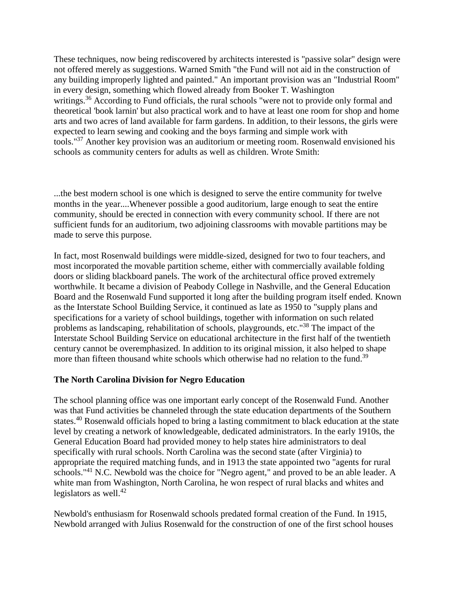These techniques, now being rediscovered by architects interested is "passive solar" design were not offered merely as suggestions. Warned Smith "the Fund will not aid in the construction of any building improperly lighted and painted." An important provision was an "Industrial Room" in every design, something which flowed already from Booker T. Washington writings.<sup>36</sup> According to Fund officials, the rural schools "were not to provide only formal and theoretical 'book larnin' but also practical work and to have at least one room for shop and home arts and two acres of land available for farm gardens. In addition, to their lessons, the girls were expected to learn sewing and cooking and the boys farming and simple work with tools."37 Another key provision was an auditorium or meeting room. Rosenwald envisioned his schools as community centers for adults as well as children. Wrote Smith:

...the best modern school is one which is designed to serve the entire community for twelve months in the year....Whenever possible a good auditorium, large enough to seat the entire community, should be erected in connection with every community school. If there are not sufficient funds for an auditorium, two adjoining classrooms with movable partitions may be made to serve this purpose.

In fact, most Rosenwald buildings were middle-sized, designed for two to four teachers, and most incorporated the movable partition scheme, either with commercially available folding doors or sliding blackboard panels. The work of the architectural office proved extremely worthwhile. It became a division of Peabody College in Nashville, and the General Education Board and the Rosenwald Fund supported it long after the building program itself ended. Known as the Interstate School Building Service, it continued as late as 1950 to "supply plans and specifications for a variety of school buildings, together with information on such related problems as landscaping, rehabilitation of schools, playgrounds, etc."38 The impact of the Interstate School Building Service on educational architecture in the first half of the twentieth century cannot be overemphasized. In addition to its original mission, it also helped to shape more than fifteen thousand white schools which otherwise had no relation to the fund.<sup>39</sup>

### **The North Carolina Division for Negro Education**

The school planning office was one important early concept of the Rosenwald Fund. Another was that Fund activities be channeled through the state education departments of the Southern states.<sup>40</sup> Rosenwald officials hoped to bring a lasting commitment to black education at the state level by creating a network of knowledgeable, dedicated administrators. In the early 1910s, the General Education Board had provided money to help states hire administrators to deal specifically with rural schools. North Carolina was the second state (after Virginia) to appropriate the required matching funds, and in 1913 the state appointed two "agents for rural schools."<sup>41</sup> N.C. Newbold was the choice for "Negro agent," and proved to be an able leader. A white man from Washington, North Carolina, he won respect of rural blacks and whites and legislators as well. $42$ 

Newbold's enthusiasm for Rosenwald schools predated formal creation of the Fund. In 1915, Newbold arranged with Julius Rosenwald for the construction of one of the first school houses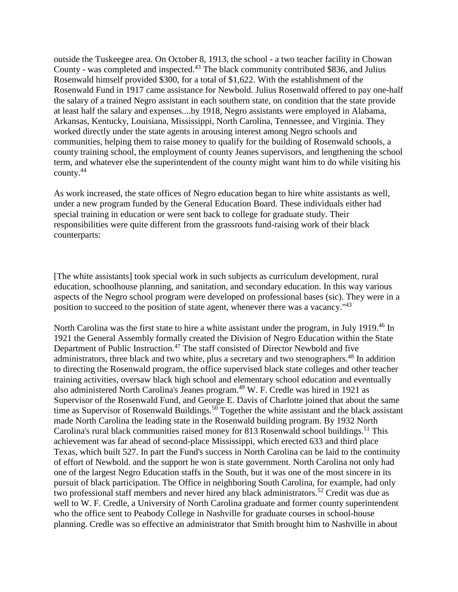outside the Tuskeegee area. On October 8, 1913, the school - a two teacher facility in Chowan County - was completed and inspected.<sup>43</sup> The black community contributed \$836, and Julius Rosenwald himself provided \$300, for a total of \$1,622. With the establishment of the Rosenwald Fund in 1917 came assistance for Newbold. Julius Rosenwald offered to pay one-half the salary of a trained Negro assistant in each southern state, on condition that the state provide at least half the salary and expenses....by 1918, Negro assistants were employed in Alabama, Arkansas, Kentucky, Louisiana, Mississippi, North Carolina, Tennessee, and Virginia. They worked directly under the state agents in arousing interest among Negro schools and communities, helping them to raise money to qualify for the building of Rosenwald schools, a county training school, the employment of county Jeanes supervisors, and lengthening the school term, and whatever else the superintendent of the county might want him to do while visiting his county.<sup>44</sup>

As work increased, the state offices of Negro education began to hire white assistants as well, under a new program funded by the General Education Board. These individuals either had special training in education or were sent back to college for graduate study. Their responsibilities were quite different from the grassroots fund-raising work of their black counterparts:

[The white assistants] took special work in such subjects as curriculum development, rural education, schoolhouse planning, and sanitation, and secondary education. In this way various aspects of the Negro school program were developed on professional bases (sic). They were in a position to succeed to the position of state agent, whenever there was a vacancy."43

North Carolina was the first state to hire a white assistant under the program, in July 1919.<sup>46</sup> In 1921 the General Assembly formally created the Division of Negro Education within the State Department of Public Instruction.<sup>47</sup> The staff consisted of Director Newbold and five administrators, three black and two white, plus a secretary and two stenographers.<sup>48</sup> In addition to directing the Rosenwald program, the office supervised black state colleges and other teacher training activities, oversaw black high school and elementary school education and eventually also administered North Carolina's Jeanes program.<sup>49</sup> W. F. Credle was hired in 1921 as Supervisor of the Rosenwald Fund, and George E. Davis of Charlotte joined that about the same time as Supervisor of Rosenwald Buildings.<sup>50</sup> Together the white assistant and the black assistant made North Carolina the leading state in the Rosenwald building program. By 1932 North Carolina's rural black communities raised money for 813 Rosenwald school buildings.<sup>51</sup> This achievement was far ahead of second-place Mississippi, which erected 633 and third place Texas, which built 527. In part the Fund's success in North Carolina can be laid to the continuity of effort of Newbold. and the support he won is state government. North Carolina not only had one of the largest Negro Education staffs in the South, but it was one of the most sincere in its pursuit of black participation. The Office in neighboring South Carolina, for example, had only two professional staff members and never hired any black administrators.<sup>52</sup> Credit was due as well to W. F. Credle, a University of North Carolina graduate and former county superintendent who the office sent to Peabody College in Nashville for graduate courses in school-house planning. Credle was so effective an administrator that Smith brought him to Nashville in about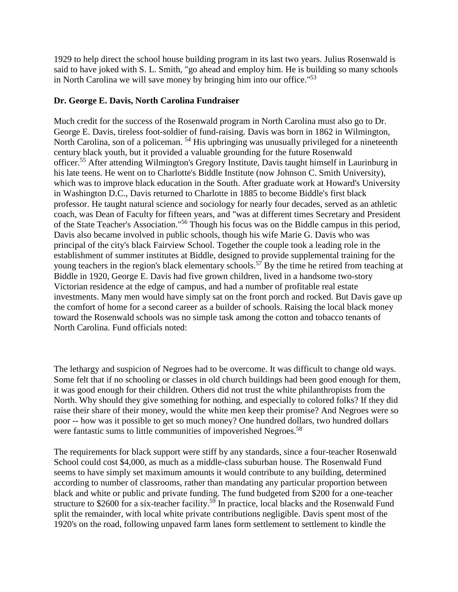1929 to help direct the school house building program in its last two years. Julius Rosenwald is said to have joked with S. L. Smith, "go ahead and employ him. He is building so many schools in North Carolina we will save money by bringing him into our office."53

## **Dr. George E. Davis, North Carolina Fundraiser**

Much credit for the success of the Rosenwald program in North Carolina must also go to Dr. George E. Davis, tireless foot-soldier of fund-raising. Davis was born in 1862 in Wilmington, North Carolina, son of a policeman. <sup>54</sup> His upbringing was unusually privileged for a nineteenth century black youth, but it provided a valuable grounding for the future Rosenwald officer.55 After attending Wilmington's Gregory Institute, Davis taught himself in Laurinburg in his late teens. He went on to Charlotte's Biddle Institute (now Johnson C. Smith University), which was to improve black education in the South. After graduate work at Howard's University in Washington D.C., Davis returned to Charlotte in 1885 to become Biddle's first black professor. He taught natural science and sociology for nearly four decades, served as an athletic coach, was Dean of Faculty for fifteen years, and "was at different times Secretary and President of the State Teacher's Association."56 Though his focus was on the Biddle campus in this period, Davis also became involved in public schools, though his wife Marie G. Davis who was principal of the city's black Fairview School. Together the couple took a leading role in the establishment of summer institutes at Biddle, designed to provide supplemental training for the young teachers in the region's black elementary schools.<sup>57</sup> By the time he retired from teaching at Biddle in 1920, George E. Davis had five grown children, lived in a handsome two-story Victorian residence at the edge of campus, and had a number of profitable real estate investments. Many men would have simply sat on the front porch and rocked. But Davis gave up the comfort of home for a second career as a builder of schools. Raising the local black money toward the Rosenwald schools was no simple task among the cotton and tobacco tenants of North Carolina. Fund officials noted:

The lethargy and suspicion of Negroes had to be overcome. It was difficult to change old ways. Some felt that if no schooling or classes in old church buildings had been good enough for them, it was good enough for their children. Others did not trust the white philanthropists from the North. Why should they give something for nothing, and especially to colored folks? If they did raise their share of their money, would the white men keep their promise? And Negroes were so poor -- how was it possible to get so much money? One hundred dollars, two hundred dollars were fantastic sums to little communities of impoverished Negroes.<sup>58</sup>

The requirements for black support were stiff by any standards, since a four-teacher Rosenwald School could cost \$4,000, as much as a middle-class suburban house. The Rosenwald Fund seems to have simply set maximum amounts it would contribute to any building, determined according to number of classrooms, rather than mandating any particular proportion between black and white or public and private funding. The fund budgeted from \$200 for a one-teacher structure to \$2600 for a six-teacher facility.<sup>59</sup> In practice, local blacks and the Rosenwald Fund split the remainder, with local white private contributions negligible. Davis spent most of the 1920's on the road, following unpaved farm lanes form settlement to settlement to kindle the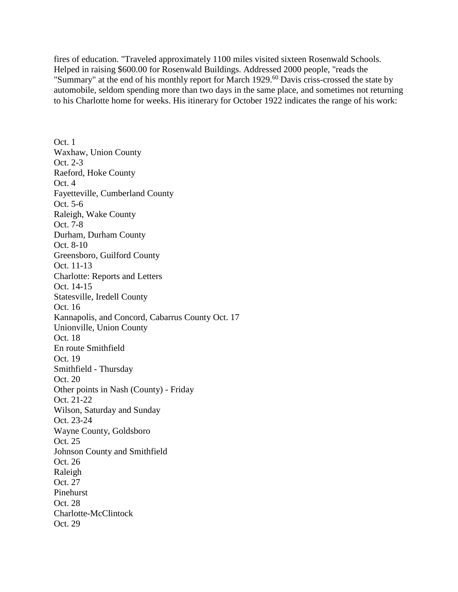fires of education. "Traveled approximately 1100 miles visited sixteen Rosenwald Schools. Helped in raising \$600.00 for Rosenwald Buildings. Addressed 2000 people, "reads the "Summary" at the end of his monthly report for March 1929.<sup>60</sup> Davis criss-crossed the state by automobile, seldom spending more than two days in the same place, and sometimes not returning to his Charlotte home for weeks. His itinerary for October 1922 indicates the range of his work:

Oct. 1 Waxhaw, Union County Oct. 2-3 Raeford, Hoke County Oct. 4 Fayetteville, Cumberland County Oct. 5-6 Raleigh, Wake County Oct. 7-8 Durham, Durham County Oct. 8-10 Greensboro, Guilford County Oct. 11-13 Charlotte: Reports and Letters Oct. 14-15 Statesville, Iredell County Oct. 16 Kannapolis, and Concord, Cabarrus County Oct. 17 Unionville, Union County Oct. 18 En route Smithfield Oct. 19 Smithfield - Thursday Oct. 20 Other points in Nash (County) - Friday Oct. 21-22 Wilson, Saturday and Sunday Oct. 23-24 Wayne County, Goldsboro Oct. 25 Johnson County and Smithfield Oct. 26 Raleigh Oct. 27 Pinehurst Oct. 28 Charlotte-McClintock Oct. 29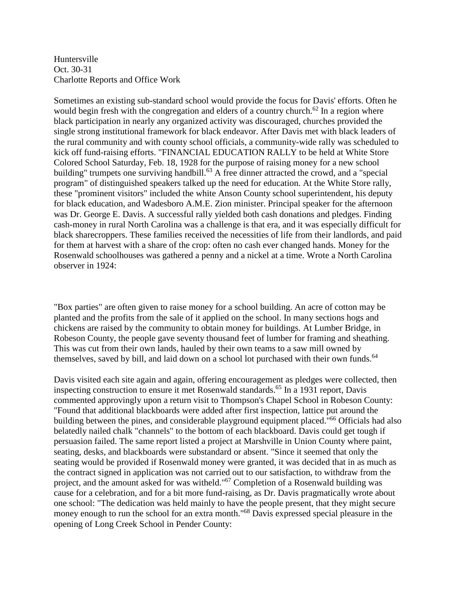Huntersville Oct. 30-31 Charlotte Reports and Office Work

Sometimes an existing sub-standard school would provide the focus for Davis' efforts. Often he would begin fresh with the congregation and elders of a country church.<sup>62</sup> In a region where black participation in nearly any organized activity was discouraged, churches provided the single strong institutional framework for black endeavor. After Davis met with black leaders of the rural community and with county school officials, a community-wide rally was scheduled to kick off fund-raising efforts. "FINANCIAL EDUCATION RALLY to be held at White Store Colored School Saturday, Feb. 18, 1928 for the purpose of raising money for a new school building" trumpets one surviving handbill.<sup>63</sup> A free dinner attracted the crowd, and a "special" program" of distinguished speakers talked up the need for education. At the White Store rally, these "prominent visitors" included the white Anson County school superintendent, his deputy for black education, and Wadesboro A.M.E. Zion minister. Principal speaker for the afternoon was Dr. George E. Davis. A successful rally yielded both cash donations and pledges. Finding cash-money in rural North Carolina was a challenge is that era, and it was especially difficult for black sharecroppers. These families received the necessities of life from their landlords, and paid for them at harvest with a share of the crop: often no cash ever changed hands. Money for the Rosenwald schoolhouses was gathered a penny and a nickel at a time. Wrote a North Carolina observer in 1924:

"Box parties" are often given to raise money for a school building. An acre of cotton may be planted and the profits from the sale of it applied on the school. In many sections hogs and chickens are raised by the community to obtain money for buildings. At Lumber Bridge, in Robeson County, the people gave seventy thousand feet of lumber for framing and sheathing. This was cut from their own lands, hauled by their own teams to a saw mill owned by themselves, saved by bill, and laid down on a school lot purchased with their own funds.<sup>64</sup>

Davis visited each site again and again, offering encouragement as pledges were collected, then inspecting construction to ensure it met Rosenwald standards.<sup>65</sup> In a 1931 report, Davis commented approvingly upon a return visit to Thompson's Chapel School in Robeson County: "Found that additional blackboards were added after first inspection, lattice put around the building between the pines, and considerable playground equipment placed."<sup>66</sup> Officials had also belatedly nailed chalk "channels" to the bottom of each blackboard. Davis could get tough if persuasion failed. The same report listed a project at Marshville in Union County where paint, seating, desks, and blackboards were substandard or absent. "Since it seemed that only the seating would be provided if Rosenwald money were granted, it was decided that in as much as the contract signed in application was not carried out to our satisfaction, to withdraw from the project, and the amount asked for was witheld."67 Completion of a Rosenwald building was cause for a celebration, and for a bit more fund-raising, as Dr. Davis pragmatically wrote about one school: "The dedication was held mainly to have the people present, that they might secure money enough to run the school for an extra month."<sup>68</sup> Davis expressed special pleasure in the opening of Long Creek School in Pender County: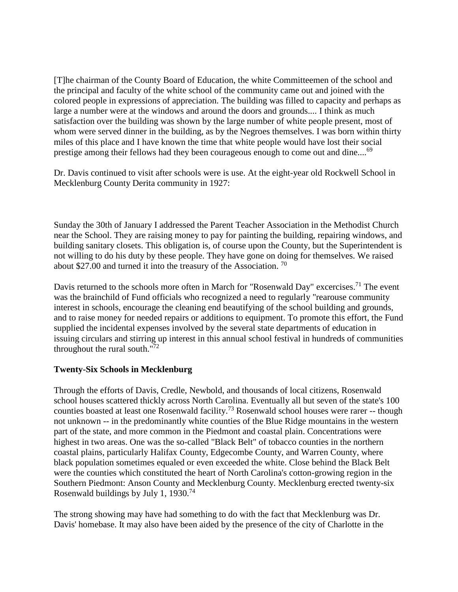[T]he chairman of the County Board of Education, the white Committeemen of the school and the principal and faculty of the white school of the community came out and joined with the colored people in expressions of appreciation. The building was filled to capacity and perhaps as large a number were at the windows and around the doors and grounds.... I think as much satisfaction over the building was shown by the large number of white people present, most of whom were served dinner in the building, as by the Negroes themselves. I was born within thirty miles of this place and I have known the time that white people would have lost their social prestige among their fellows had they been courageous enough to come out and dine....<sup>69</sup>

Dr. Davis continued to visit after schools were is use. At the eight-year old Rockwell School in Mecklenburg County Derita community in 1927:

Sunday the 30th of January I addressed the Parent Teacher Association in the Methodist Church near the School. They are raising money to pay for painting the building, repairing windows, and building sanitary closets. This obligation is, of course upon the County, but the Superintendent is not willing to do his duty by these people. They have gone on doing for themselves. We raised about \$27.00 and turned it into the treasury of the Association. <sup>70</sup>

Davis returned to the schools more often in March for "Rosenwald Day" excercises.<sup>71</sup> The event was the brainchild of Fund officials who recognized a need to regularly "rearouse community interest in schools, encourage the cleaning end beautifying of the school building and grounds, and to raise money for needed repairs or additions to equipment. To promote this effort, the Fund supplied the incidental expenses involved by the several state departments of education in issuing circulars and stirring up interest in this annual school festival in hundreds of communities throughout the rural south."72

# **Twenty-Six Schools in Mecklenburg**

Through the efforts of Davis, Credle, Newbold, and thousands of local citizens, Rosenwald school houses scattered thickly across North Carolina. Eventually all but seven of the state's 100 counties boasted at least one Rosenwald facility.<sup>73</sup> Rosenwald school houses were rarer -- though not unknown -- in the predominantly white counties of the Blue Ridge mountains in the western part of the state, and more common in the Piedmont and coastal plain. Concentrations were highest in two areas. One was the so-called "Black Belt" of tobacco counties in the northern coastal plains, particularly Halifax County, Edgecombe County, and Warren County, where black population sometimes equaled or even exceeded the white. Close behind the Black Belt were the counties which constituted the heart of North Carolina's cotton-growing region in the Southern Piedmont: Anson County and Mecklenburg County. Mecklenburg erected twenty-six Rosenwald buildings by July 1, 1930.74

The strong showing may have had something to do with the fact that Mecklenburg was Dr. Davis' homebase. It may also have been aided by the presence of the city of Charlotte in the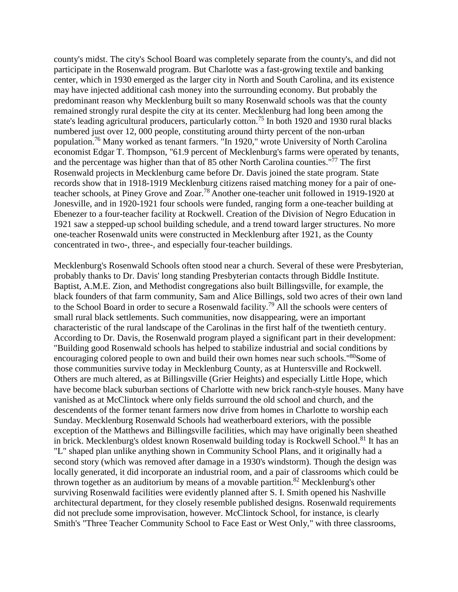county's midst. The city's School Board was completely separate from the county's, and did not participate in the Rosenwald program. But Charlotte was a fast-growing textile and banking center, which in 1930 emerged as the larger city in North and South Carolina, and its existence may have injected additional cash money into the surrounding economy. But probably the predominant reason why Mecklenburg built so many Rosenwald schools was that the county remained strongly rural despite the city at its center. Mecklenburg had long been among the state's leading agricultural producers, particularly cotton.<sup>75</sup> In both 1920 and 1930 rural blacks numbered just over 12, 000 people, constituting around thirty percent of the non-urban population.76 Many worked as tenant farmers. "In 1920," wrote University of North Carolina economist Edgar T. Thompson, "61.9 percent of Mecklenburg's farms were operated by tenants, and the percentage was higher than that of 85 other North Carolina counties.<sup>"77</sup> The first Rosenwald projects in Mecklenburg came before Dr. Davis joined the state program. State records show that in 1918-1919 Mecklenburg citizens raised matching money for a pair of oneteacher schools, at Piney Grove and Zoar.78 Another one-teacher unit followed in 1919-1920 at Jonesville, and in 1920-1921 four schools were funded, ranging form a one-teacher building at Ebenezer to a four-teacher facility at Rockwell. Creation of the Division of Negro Education in 1921 saw a stepped-up school building schedule, and a trend toward larger structures. No more one-teacher Rosenwald units were constructed in Mecklenburg after 1921, as the County concentrated in two-, three-, and especially four-teacher buildings.

Mecklenburg's Rosenwald Schools often stood near a church. Several of these were Presbyterian, probably thanks to Dr. Davis' long standing Presbyterian contacts through Biddle Institute. Baptist, A.M.E. Zion, and Methodist congregations also built Billingsville, for example, the black founders of that farm community, Sam and Alice Billings, sold two acres of their own land to the School Board in order to secure a Rosenwald facility.79 All the schools were centers of small rural black settlements. Such communities, now disappearing, were an important characteristic of the rural landscape of the Carolinas in the first half of the twentieth century. According to Dr. Davis, the Rosenwald program played a significant part in their development: "Building good Rosenwald schools has helped to stabilize industrial and social conditions by encouraging colored people to own and build their own homes near such schools."<sup>80</sup>Some of those communities survive today in Mecklenburg County, as at Huntersville and Rockwell. Others are much altered, as at Billingsville (Grier Heights) and especially Little Hope, which have become black suburban sections of Charlotte with new brick ranch-style houses. Many have vanished as at McClintock where only fields surround the old school and church, and the descendents of the former tenant farmers now drive from homes in Charlotte to worship each Sunday. Mecklenburg Rosenwald Schools had weatherboard exteriors, with the possible exception of the Matthews and Billingsville facilities, which may have originally been sheathed in brick. Mecklenburg's oldest known Rosenwald building today is Rockwell School.<sup>81</sup> It has an "L" shaped plan unlike anything shown in Community School Plans, and it originally had a second story (which was removed after damage in a 1930's windstorm). Though the design was locally generated, it did incorporate an industrial room, and a pair of classrooms which could be thrown together as an auditorium by means of a movable partition.<sup>82</sup> Mecklenburg's other surviving Rosenwald facilities were evidently planned after S. I. Smith opened his Nashville architectural department, for they closely resemble published designs. Rosenwald requirements did not preclude some improvisation, however. McClintock School, for instance, is clearly Smith's "Three Teacher Community School to Face East or West Only," with three classrooms,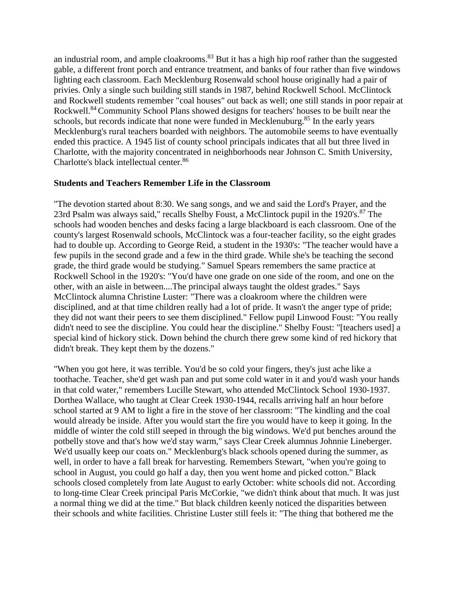an industrial room, and ample cloakrooms.<sup>83</sup> But it has a high hip roof rather than the suggested gable, a different front porch and entrance treatment, and banks of four rather than five windows lighting each classroom. Each Mecklenburg Rosenwald school house originally had a pair of privies. Only a single such building still stands in 1987, behind Rockwell School. McClintock and Rockwell students remember "coal houses" out back as well; one still stands in poor repair at Rockwell.<sup>84</sup> Community School Plans showed designs for teachers' houses to be built near the schools, but records indicate that none were funded in Mecklenuburg.<sup>85</sup> In the early years Mecklenburg's rural teachers boarded with neighbors. The automobile seems to have eventually ended this practice. A 1945 list of county school principals indicates that all but three lived in Charlotte, with the majority concentrated in neighborhoods near Johnson C. Smith University, Charlotte's black intellectual center.86

#### **Students and Teachers Remember Life in the Classroom**

"The devotion started about 8:30. We sang songs, and we and said the Lord's Prayer, and the 23rd Psalm was always said," recalls Shelby Foust, a McClintock pupil in the 1920's.<sup>87</sup> The schools had wooden benches and desks facing a large blackboard is each classroom. One of the county's largest Rosenwald schools, McClintock was a four-teacher facility, so the eight grades had to double up. According to George Reid, a student in the 1930's: "The teacher would have a few pupils in the second grade and a few in the third grade. While she's be teaching the second grade, the third grade would be studying." Samuel Spears remembers the same practice at Rockwell School in the 1920's: "You'd have one grade on one side of the room, and one on the other, with an aisle in between....The principal always taught the oldest grades." Says McClintock alumna Christine Luster: "There was a cloakroom where the children were disciplined, and at that time children really had a lot of pride. It wasn't the anger type of pride; they did not want their peers to see them disciplined." Fellow pupil Linwood Foust: "You really didn't need to see the discipline. You could hear the discipline." Shelby Foust: "[teachers used] a special kind of hickory stick. Down behind the church there grew some kind of red hickory that didn't break. They kept them by the dozens."

"When you got here, it was terrible. You'd be so cold your fingers, they's just ache like a toothache. Teacher, she'd get wash pan and put some cold water in it and you'd wash your hands in that cold water," remembers Lucille Stewart, who attended McClintock School 1930-1937. Dorthea Wallace, who taught at Clear Creek 1930-1944, recalls arriving half an hour before school started at 9 AM to light a fire in the stove of her classroom: "The kindling and the coal would already be inside. After you would start the fire you would have to keep it going. In the middle of winter the cold still seeped in through the big windows. We'd put benches around the potbelly stove and that's how we'd stay warm," says Clear Creek alumnus Johnnie Lineberger. We'd usually keep our coats on." Mecklenburg's black schools opened during the summer, as well, in order to have a fall break for harvesting. Remembers Stewart, "when you're going to school in August, you could go half a day, then you went home and picked cotton." Black schools closed completely from late August to early October: white schools did not. According to long-time Clear Creek principal Paris McCorkie, "we didn't think about that much. It was just a normal thing we did at the time." But black children keenly noticed the disparities between their schools and white facilities. Christine Luster still feels it: "The thing that bothered me the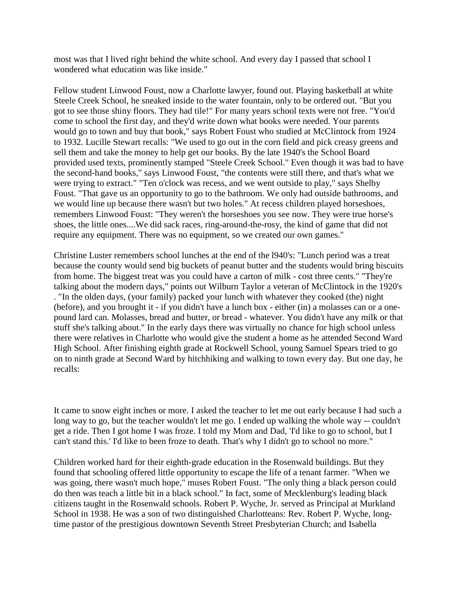most was that I lived right behind the white school. And every day I passed that school I wondered what education was like inside."

Fellow student Linwood Foust, now a Charlotte lawyer, found out. Playing basketball at white Steele Creek School, he sneaked inside to the water fountain, only to be ordered out. "But you got to see those shiny floors. They had tile!" For many years school texts were not free. "You'd come to school the first day, and they'd write down what books were needed. Your parents would go to town and buy that book," says Robert Foust who studied at McClintock from 1924 to 1932. Lucille Stewart recalls: "We used to go out in the corn field and pick creasy greens and sell them and take the money to help get our books. By the late 1940's the School Board provided used texts, prominently stamped "Steele Creek School." Even though it was bad to have the second-hand books," says Linwood Foust, "the contents were still there, and that's what we were trying to extract." "Ten o'clock was recess, and we went outside to play," says Shelby Foust. "That gave us an opportunity to go to the bathroom. We only had outside bathrooms, and we would line up because there wasn't but two holes." At recess children played horseshoes, remembers Linwood Foust: "They weren't the horseshoes you see now. They were true horse's shoes, the little ones....We did sack races, ring-around-the-rosy, the kind of game that did not require any equipment. There was no equipment, so we created our own games."

Christine Luster remembers school lunches at the end of the l940's: "Lunch period was a treat because the county would send big buckets of peanut butter and the students would bring biscuits from home. The biggest treat was you could have a carton of milk - cost three cents." "They're talking about the modern days," points out Wilburn Taylor a veteran of McClintock in the 1920's . "In the olden days, (your family) packed your lunch with whatever they cooked (the) night (before), and you brought it - if you didn't have a lunch box - either (in) a molasses can or a onepound lard can. Molasses, bread and butter, or bread - whatever. You didn't have any milk or that stuff she's talking about." In the early days there was virtually no chance for high school unless there were relatives in Charlotte who would give the student a home as he attended Second Ward High School. After finishing eighth grade at Rockwell School, young Samuel Spears tried to go on to ninth grade at Second Ward by hitchhiking and walking to town every day. But one day, he recalls:

It came to snow eight inches or more. I asked the teacher to let me out early because I had such a long way to go, but the teacher wouldn't let me go. I ended up walking the whole way -- couldn't get a ride. Then I got home I was froze. I told my Mom and Dad, 'I'd like to go to school, but I can't stand this.' I'd like to been froze to death. That's why I didn't go to school no more."

Children worked hard for their eighth-grade education in the Rosenwald buildings. But they found that schooling offered little opportunity to escape the life of a tenant farmer. "When we was going, there wasn't much hope," muses Robert Foust. "The only thing a black person could do then was teach a little bit in a black school." In fact, some of Mecklenburg's leading black citizens taught in the Rosenwald schools. Robert P. Wyche, Jr. served as Principal at Murkland School in 1938. He was a son of two distinguished Charlotteans: Rev. Robert P. Wyche, longtime pastor of the prestigious downtown Seventh Street Presbyterian Church; and Isabella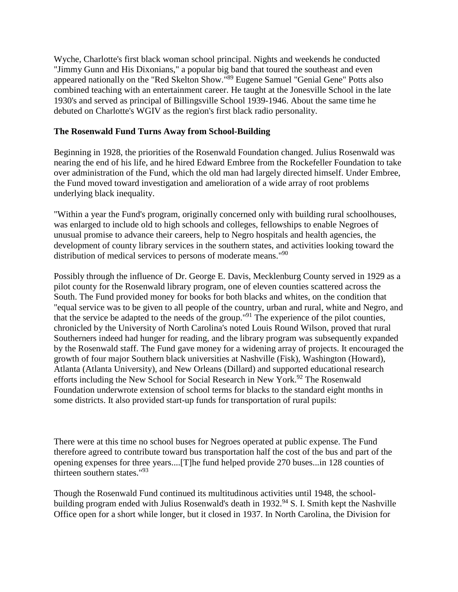Wyche, Charlotte's first black woman school principal. Nights and weekends he conducted "Jimmy Gunn and His Dixonians," a popular big band that toured the southeast and even appeared nationally on the "Red Skelton Show."89 Eugene Samuel "Genial Gene" Potts also combined teaching with an entertainment career. He taught at the Jonesville School in the late 1930's and served as principal of Billingsville School 1939-1946. About the same time he debuted on Charlotte's WGIV as the region's first black radio personality.

## **The Rosenwald Fund Turns Away from School-Building**

Beginning in 1928, the priorities of the Rosenwald Foundation changed. Julius Rosenwald was nearing the end of his life, and he hired Edward Embree from the Rockefeller Foundation to take over administration of the Fund, which the old man had largely directed himself. Under Embree, the Fund moved toward investigation and amelioration of a wide array of root problems underlying black inequality.

"Within a year the Fund's program, originally concerned only with building rural schoolhouses, was enlarged to include old to high schools and colleges, fellowships to enable Negroes of unusual promise to advance their careers, help to Negro hospitals and health agencies, the development of county library services in the southern states, and activities looking toward the distribution of medical services to persons of moderate means."<sup>90</sup>

Possibly through the influence of Dr. George E. Davis, Mecklenburg County served in 1929 as a pilot county for the Rosenwald library program, one of eleven counties scattered across the South. The Fund provided money for books for both blacks and whites, on the condition that "equal service was to be given to all people of the country, urban and rural, white and Negro, and that the service be adapted to the needs of the group."91 The experience of the pilot counties, chronicled by the University of North Carolina's noted Louis Round Wilson, proved that rural Southerners indeed had hunger for reading, and the library program was subsequently expanded by the Rosenwald staff. The Fund gave money for a widening array of projects. It encouraged the growth of four major Southern black universities at Nashville (Fisk), Washington (Howard), Atlanta (Atlanta University), and New Orleans (Dillard) and supported educational research efforts including the New School for Social Research in New York.<sup>92</sup> The Rosenwald Foundation underwrote extension of school terms for blacks to the standard eight months in some districts. It also provided start-up funds for transportation of rural pupils:

There were at this time no school buses for Negroes operated at public expense. The Fund therefore agreed to contribute toward bus transportation half the cost of the bus and part of the opening expenses for three years....[T]he fund helped provide 270 buses...in 128 counties of thirteen southern states."93

Though the Rosenwald Fund continued its multitudinous activities until 1948, the schoolbuilding program ended with Julius Rosenwald's death in  $1932.^{94}$  S. I. Smith kept the Nashville Office open for a short while longer, but it closed in 1937. In North Carolina, the Division for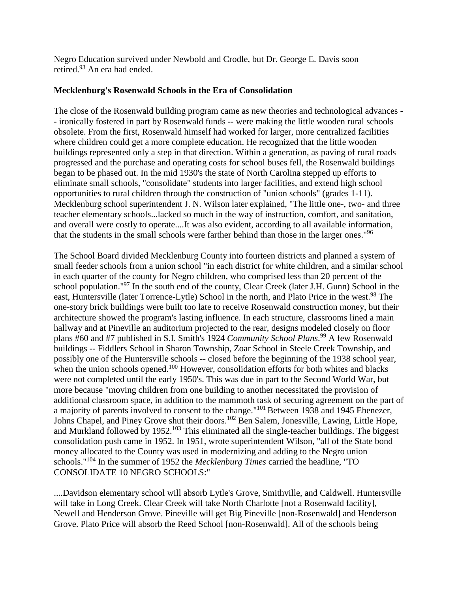Negro Education survived under Newbold and Crodle, but Dr. George E. Davis soon retired.93 An era had ended.

## **Mecklenburg's Rosenwald Schools in the Era of Consolidation**

The close of the Rosenwald building program came as new theories and technological advances - - ironically fostered in part by Rosenwald funds -- were making the little wooden rural schools obsolete. From the first, Rosenwald himself had worked for larger, more centralized facilities where children could get a more complete education. He recognized that the little wooden buildings represented only a step in that direction. Within a generation, as paving of rural roads progressed and the purchase and operating costs for school buses fell, the Rosenwald buildings began to be phased out. In the mid 1930's the state of North Carolina stepped up efforts to eliminate small schools, "consolidate" students into larger facilities, and extend high school opportunities to rural children through the construction of "union schools" (grades 1-11). Mecklenburg school superintendent J. N. Wilson later explained, "The little one-, two- and three teacher elementary schools...lacked so much in the way of instruction, comfort, and sanitation, and overall were costly to operate....It was also evident, according to all available information, that the students in the small schools were farther behind than those in the larger ones."96

The School Board divided Mecklenburg County into fourteen districts and planned a system of small feeder schools from a union school "in each district for white children, and a similar school in each quarter of the county for Negro children, who comprised less than 20 percent of the school population."<sup>97</sup> In the south end of the county, Clear Creek (later J.H. Gunn) School in the east, Huntersville (later Torrence-Lytle) School in the north, and Plato Price in the west.<sup>98</sup> The one-story brick buildings were built too late to receive Rosenwald construction money, but their architecture showed the program's lasting influence. In each structure, classrooms lined a main hallway and at Pineville an auditorium projected to the rear, designs modeled closely on floor plans #60 and #7 published in S.I. Smith's 1924 *Community School Plans*. <sup>99</sup> A few Rosenwald buildings -- Fiddlers School in Sharon Township, Zoar School in Steele Creek Township, and possibly one of the Huntersville schools -- closed before the beginning of the 1938 school year, when the union schools opened.<sup>100</sup> However, consolidation efforts for both whites and blacks were not completed until the early 1950's. This was due in part to the Second World War, but more because "moving children from one building to another necessitated the provision of additional classroom space, in addition to the mammoth task of securing agreement on the part of a majority of parents involved to consent to the change."<sup>101</sup> Between 1938 and 1945 Ebenezer, Johns Chapel, and Piney Grove shut their doors.<sup>102</sup> Ben Salem, Jonesville, Lawing, Little Hope, and Murkland followed by 1952.<sup>103</sup> This eliminated all the single-teacher buildings. The biggest consolidation push came in 1952. In 1951, wrote superintendent Wilson, "all of the State bond money allocated to the County was used in modernizing and adding to the Negro union schools."104 In the summer of 1952 the *Mecklenburg Times* carried the headline, "TO CONSOLIDATE 10 NEGRO SCHOOLS:"

....Davidson elementary school will absorb Lytle's Grove, Smithville, and Caldwell. Huntersville will take in Long Creek. Clear Creek will take North Charlotte [not a Rosenwald facility], Newell and Henderson Grove. Pineville will get Big Pineville [non-Rosenwald] and Henderson Grove. Plato Price will absorb the Reed School [non-Rosenwald]. All of the schools being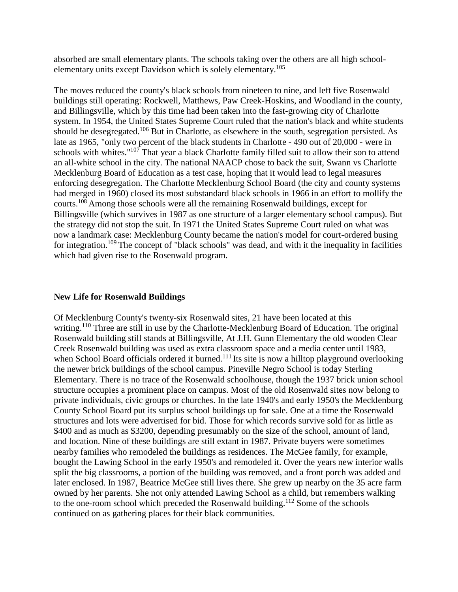absorbed are small elementary plants. The schools taking over the others are all high schoolelementary units except Davidson which is solely elementary.<sup>105</sup>

The moves reduced the county's black schools from nineteen to nine, and left five Rosenwald buildings still operating: Rockwell, Matthews, Paw Creek-Hoskins, and Woodland in the county, and Billingsville, which by this time had been taken into the fast-growing city of Charlotte system. In 1954, the United States Supreme Court ruled that the nation's black and white students should be desegregated.<sup>106</sup> But in Charlotte, as elsewhere in the south, segregation persisted. As late as 1965, "only two percent of the black students in Charlotte - 490 out of 20,000 - were in schools with whites."<sup>107</sup> That year a black Charlotte family filled suit to allow their son to attend an all-white school in the city. The national NAACP chose to back the suit, Swann vs Charlotte Mecklenburg Board of Education as a test case, hoping that it would lead to legal measures enforcing desegregation. The Charlotte Mecklenburg School Board (the city and county systems had merged in 1960) closed its most substandard black schools in 1966 in an effort to mollify the courts.<sup>108</sup> Among those schools were all the remaining Rosenwald buildings, except for Billingsville (which survives in 1987 as one structure of a larger elementary school campus). But the strategy did not stop the suit. In 1971 the United States Supreme Court ruled on what was now a landmark case: Mecklenburg County became the nation's model for court-ordered busing for integration.<sup>109</sup> The concept of "black schools" was dead, and with it the inequality in facilities which had given rise to the Rosenwald program.

#### **New Life for Rosenwald Buildings**

Of Mecklenburg County's twenty-six Rosenwald sites, 21 have been located at this writing.<sup>110</sup> Three are still in use by the Charlotte-Mecklenburg Board of Education. The original Rosenwald building still stands at Billingsville, At J.H. Gunn Elementary the old wooden Clear Creek Rosenwald building was used as extra classroom space and a media center until 1983, when School Board officials ordered it burned.<sup>111</sup> Its site is now a hilltop playground overlooking the newer brick buildings of the school campus. Pineville Negro School is today Sterling Elementary. There is no trace of the Rosenwald schoolhouse, though the 1937 brick union school structure occupies a prominent place on campus. Most of the old Rosenwald sites now belong to private individuals, civic groups or churches. In the late 1940's and early 1950's the Mecklenburg County School Board put its surplus school buildings up for sale. One at a time the Rosenwald structures and lots were advertised for bid. Those for which records survive sold for as little as \$400 and as much as \$3200, depending presumably on the size of the school, amount of land, and location. Nine of these buildings are still extant in 1987. Private buyers were sometimes nearby families who remodeled the buildings as residences. The McGee family, for example, bought the Lawing School in the early 1950's and remodeled it. Over the years new interior walls split the big classrooms, a portion of the building was removed, and a front porch was added and later enclosed. In 1987, Beatrice McGee still lives there. She grew up nearby on the 35 acre farm owned by her parents. She not only attended Lawing School as a child, but remembers walking to the one-room school which preceded the Rosenwald building.<sup>112</sup> Some of the schools continued on as gathering places for their black communities.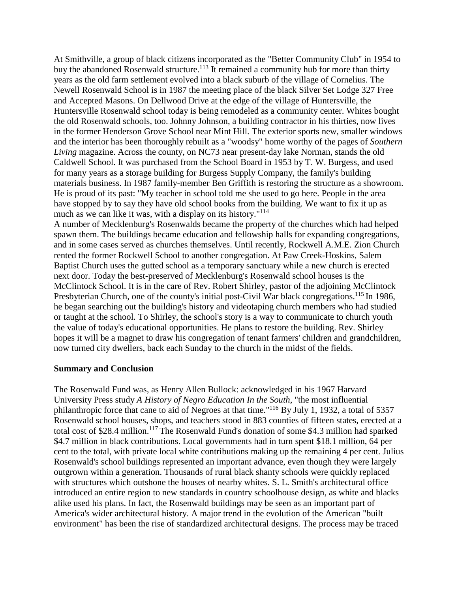At Smithville, a group of black citizens incorporated as the "Better Community Club" in 1954 to buy the abandoned Rosenwald structure.<sup>113</sup> It remained a community hub for more than thirty years as the old farm settlement evolved into a black suburb of the village of Cornelius. The Newell Rosenwald School is in 1987 the meeting place of the black Silver Set Lodge 327 Free and Accepted Masons. On Dellwood Drive at the edge of the village of Huntersville, the Huntersville Rosenwald school today is being remodeled as a community center. Whites bought the old Rosenwald schools, too. Johnny Johnson, a building contractor in his thirties, now lives in the former Henderson Grove School near Mint Hill. The exterior sports new, smaller windows and the interior has been thoroughly rebuilt as a "woodsy" home worthy of the pages of *Southern Living* magazine. Across the county, on NC73 near present-day lake Norman, stands the old Caldwell School. It was purchased from the School Board in 1953 by T. W. Burgess, and used for many years as a storage building for Burgess Supply Company, the family's building materials business. In 1987 family-member Ben Griffith is restoring the structure as a showroom. He is proud of its past: "My teacher in school told me she used to go here. People in the area have stopped by to say they have old school books from the building. We want to fix it up as much as we can like it was, with a display on its history."<sup>114</sup>

A number of Mecklenburg's Rosenwalds became the property of the churches which had helped spawn them. The buildings became education and fellowship halls for expanding congregations, and in some cases served as churches themselves. Until recently, Rockwell A.M.E. Zion Church rented the former Rockwell School to another congregation. At Paw Creek-Hoskins, Salem Baptist Church uses the gutted school as a temporary sanctuary while a new church is erected next door. Today the best-preserved of Mecklenburg's Rosenwald school houses is the McClintock School. It is in the care of Rev. Robert Shirley, pastor of the adjoining McClintock Presbyterian Church, one of the county's initial post-Civil War black congregations.<sup>115</sup> In 1986, he began searching out the building's history and videotaping church members who had studied or taught at the school. To Shirley, the school's story is a way to communicate to church youth the value of today's educational opportunities. He plans to restore the building. Rev. Shirley hopes it will be a magnet to draw his congregation of tenant farmers' children and grandchildren, now turned city dwellers, back each Sunday to the church in the midst of the fields.

### **Summary and Conclusion**

The Rosenwald Fund was, as Henry Allen Bullock: acknowledged in his 1967 Harvard University Press study *A History of Negro Education In the South*, "the most influential philanthropic force that cane to aid of Negroes at that time."116 By July 1, 1932, a total of 5357 Rosenwald school houses, shops, and teachers stood in 883 counties of fifteen states, erected at a total cost of \$28.4 million.<sup>117</sup> The Rosenwald Fund's donation of some \$4.3 million had sparked \$4.7 million in black contributions. Local governments had in turn spent \$18.1 million, 64 per cent to the total, with private local white contributions making up the remaining 4 per cent. Julius Rosenwald's school buildings represented an important advance, even though they were largely outgrown within a generation. Thousands of rural black shanty schools were quickly replaced with structures which outshone the houses of nearby whites. S. L. Smith's architectural office introduced an entire region to new standards in country schoolhouse design, as white and blacks alike used his plans. In fact, the Rosenwald buildings may be seen as an important part of America's wider architectural history. A major trend in the evolution of the American "built environment" has been the rise of standardized architectural designs. The process may be traced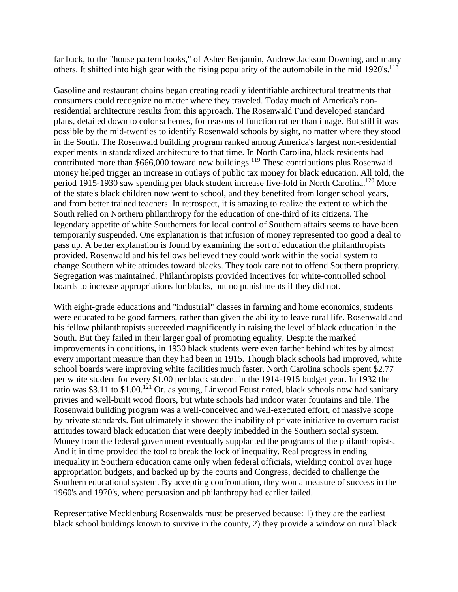far back, to the "house pattern books," of Asher Benjamin, Andrew Jackson Downing, and many others. It shifted into high gear with the rising popularity of the automobile in the mid  $1920's$ .<sup>118</sup>

Gasoline and restaurant chains began creating readily identifiable architectural treatments that consumers could recognize no matter where they traveled. Today much of America's nonresidential architecture results from this approach. The Rosenwald Fund developed standard plans, detailed down to color schemes, for reasons of function rather than image. But still it was possible by the mid-twenties to identify Rosenwald schools by sight, no matter where they stood in the South. The Rosenwald building program ranked among America's largest non-residential experiments in standardized architecture to that time. In North Carolina, black residents had contributed more than \$666,000 toward new buildings.<sup>119</sup> These contributions plus Rosenwald money helped trigger an increase in outlays of public tax money for black education. All told, the period 1915-1930 saw spending per black student increase five-fold in North Carolina.120 More of the state's black children now went to school, and they benefited from longer school years, and from better trained teachers. In retrospect, it is amazing to realize the extent to which the South relied on Northern philanthropy for the education of one-third of its citizens. The legendary appetite of white Southerners for local control of Southern affairs seems to have been temporarily suspended. One explanation is that infusion of money represented too good a deal to pass up. A better explanation is found by examining the sort of education the philanthropists provided. Rosenwald and his fellows believed they could work within the social system to change Southern white attitudes toward blacks. They took care not to offend Southern propriety. Segregation was maintained. Philanthropists provided incentives for white-controlled school boards to increase appropriations for blacks, but no punishments if they did not.

With eight-grade educations and "industrial" classes in farming and home economics, students were educated to be good farmers, rather than given the ability to leave rural life. Rosenwald and his fellow philanthropists succeeded magnificently in raising the level of black education in the South. But they failed in their larger goal of promoting equality. Despite the marked improvements in conditions, in 1930 black students were even farther behind whites by almost every important measure than they had been in 1915. Though black schools had improved, white school boards were improving white facilities much faster. North Carolina schools spent \$2.77 per white student for every \$1.00 per black student in the 1914-1915 budget year. In 1932 the ratio was \$3.11 to \$1.00.<sup>121</sup> Or, as young, Linwood Foust noted, black schools now had sanitary privies and well-built wood floors, but white schools had indoor water fountains and tile. The Rosenwald building program was a well-conceived and well-executed effort, of massive scope by private standards. But ultimately it showed the inability of private initiative to overturn racist attitudes toward black education that were deeply imbedded in the Southern social system. Money from the federal government eventually supplanted the programs of the philanthropists. And it in time provided the tool to break the lock of inequality. Real progress in ending inequality in Southern education came only when federal officials, wielding control over huge appropriation budgets, and backed up by the courts and Congress, decided to challenge the Southern educational system. By accepting confrontation, they won a measure of success in the 1960's and 1970's, where persuasion and philanthropy had earlier failed.

Representative Mecklenburg Rosenwalds must be preserved because: 1) they are the earliest black school buildings known to survive in the county, 2) they provide a window on rural black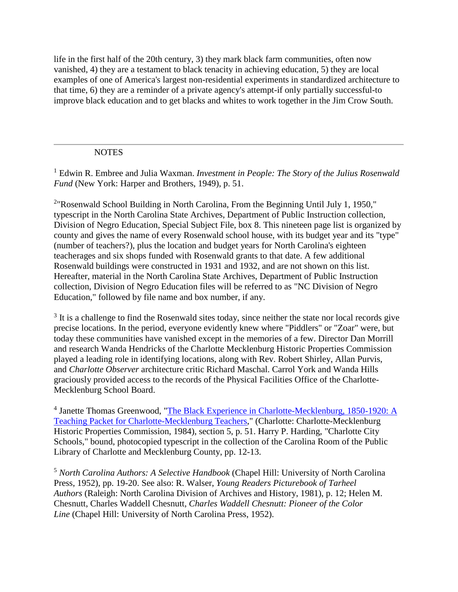life in the first half of the 20th century, 3) they mark black farm communities, often now vanished, 4) they are a testament to black tenacity in achieving education, 5) they are local examples of one of America's largest non-residential experiments in standardized architecture to that time, 6) they are a reminder of a private agency's attempt-if only partially successful-to improve black education and to get blacks and whites to work together in the Jim Crow South.

## **NOTES**

<sup>1</sup> Edwin R. Embree and Julia Waxman. *Investment in People: The Story of the Julius Rosenwald Fund* (New York: Harper and Brothers, 1949), p. 51.

<sup>2</sup>"Rosenwald School Building in North Carolina, From the Beginning Until July 1, 1950," typescript in the North Carolina State Archives, Department of Public Instruction collection, Division of Negro Education, Special Subject File, box 8. This nineteen page list is organized by county and gives the name of every Rosenwald school house, with its budget year and its "type" (number of teachers?), plus the location and budget years for North Carolina's eighteen teacherages and six shops funded with Rosenwald grants to that date. A few additional Rosenwald buildings were constructed in 1931 and 1932, and are not shown on this list. Hereafter, material in the North Carolina State Archives, Department of Public Instruction collection, Division of Negro Education files will be referred to as "NC Division of Negro Education," followed by file name and box number, if any.

<sup>3</sup> It is a challenge to find the Rosenwald sites today, since neither the state nor local records give precise locations. In the period, everyone evidently knew where "Piddlers" or "Zoar" were, but today these communities have vanished except in the memories of a few. Director Dan Morrill and research Wanda Hendricks of the Charlotte Mecklenburg Historic Properties Commission played a leading role in identifying locations, along with Rev. Robert Shirley, Allan Purvis, and *Charlotte Observer* architecture critic Richard Maschal. Carrol York and Wanda Hills graciously provided access to the records of the Physical Facilities Office of the Charlotte-Mecklenburg School Board.

<sup>4</sup> Janette Thomas Greenwood, "The Black Experience in Charlotte-Mecklenburg, 1850-1920: A Teaching Packet for Charlotte-Mecklenburg Teachers," (Charlotte: Charlotte-Mecklenburg Historic Properties Commission, 1984), section 5, p. 51. Harry P. Harding, "Charlotte City Schools," bound, photocopied typescript in the collection of the Carolina Room of the Public Library of Charlotte and Mecklenburg County, pp. 12-13.

<sup>5</sup> *North Carolina Authors: A Selective Handbook* (Chapel Hill: University of North Carolina Press, 1952), pp. 19-20. See also: R. Walser, *Young Readers Picturebook of Tarheel Authors* (Raleigh: North Carolina Division of Archives and History, 1981), p. 12; Helen M. Chesnutt, Charles Waddell Chesnutt, *Charles Waddell Chesnutt: Pioneer of the Color Line* (Chapel Hill: University of North Carolina Press, 1952).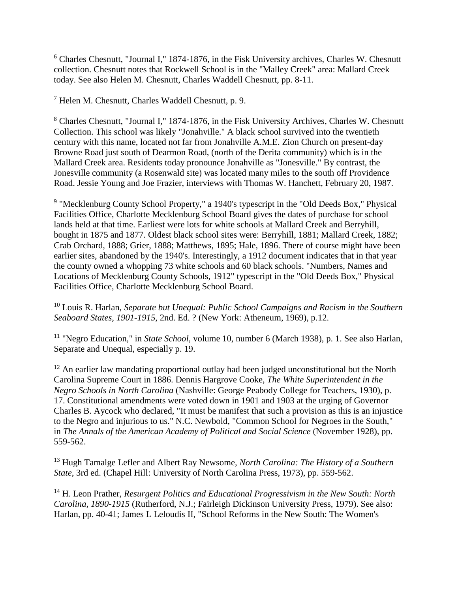<sup>6</sup> Charles Chesnutt, "Journal I," 1874-1876, in the Fisk University archives, Charles W. Chesnutt collection. Chesnutt notes that Rockwell School is in the "Malley Creek" area: Mallard Creek today. See also Helen M. Chesnutt, Charles Waddell Chesnutt, pp. 8-11.

<sup>7</sup> Helen M. Chesnutt, Charles Waddell Chesnutt, p. 9.

<sup>8</sup> Charles Chesnutt, "Journal I," 1874-1876, in the Fisk University Archives, Charles W. Chesnutt Collection. This school was likely "Jonahville." A black school survived into the twentieth century with this name, located not far from Jonahville A.M.E. Zion Church on present-day Browne Road just south of Dearmon Road, (north of the Derita community) which is in the Mallard Creek area. Residents today pronounce Jonahville as "Jonesville." By contrast, the Jonesville community (a Rosenwald site) was located many miles to the south off Providence Road. Jessie Young and Joe Frazier, interviews with Thomas W. Hanchett, February 20, 1987.

<sup>9</sup> "Mecklenburg County School Property," a 1940's typescript in the "Old Deeds Box," Physical Facilities Office, Charlotte Mecklenburg School Board gives the dates of purchase for school lands held at that time. Earliest were lots for white schools at Mallard Creek and Berryhill, bought in 1875 and 1877. Oldest black school sites were: Berryhill, 1881; Mallard Creek, 1882; Crab Orchard, 1888; Grier, 1888; Matthews, 1895; Hale, 1896. There of course might have been earlier sites, abandoned by the 1940's. Interestingly, a 1912 document indicates that in that year the county owned a whopping 73 white schools and 60 black schools. "Numbers, Names and Locations of Mecklenburg County Schools, 1912" typescript in the "Old Deeds Box," Physical Facilities Office, Charlotte Mecklenburg School Board.

<sup>10</sup> Louis R. Harlan, *Separate but Unequal: Public School Campaigns and Racism in the Southern Seaboard States, 1901-1915*, 2nd. Ed. ? (New York: Atheneum, 1969), p.12.

<sup>11</sup> "Negro Education," in *State School*, volume 10, number 6 (March 1938), p. 1. See also Harlan, Separate and Unequal, especially p. 19.

<sup>12</sup> An earlier law mandating proportional outlay had been judged unconstitutional but the North Carolina Supreme Court in 1886. Dennis Hargrove Cooke, *The White Superintendent in the Negro Schools in North Carolina* (Nashville: George Peabody College for Teachers, 1930), p. 17. Constitutional amendments were voted down in 1901 and 1903 at the urging of Governor Charles B. Aycock who declared, "It must be manifest that such a provision as this is an injustice to the Negro and injurious to us." N.C. Newbold, "Common School for Negroes in the South," in *The Annals of the American Academy of Political and Social Science* (November 1928), pp. 559-562.

<sup>13</sup> Hugh Tamalge Lefler and Albert Ray Newsome, *North Carolina: The History of a Southern State*, 3rd ed. (Chapel Hill: University of North Carolina Press, 1973), pp. 559-562.

<sup>14</sup> H. Leon Prather, *Resurgent Politics and Educational Progressivism in the New South: North Carolina, 1890-1915* (Rutherford, N.J.; Fairleigh Dickinson University Press, 1979). See also: Harlan, pp. 40-41; James L Leloudis II, "School Reforms in the New South: The Women's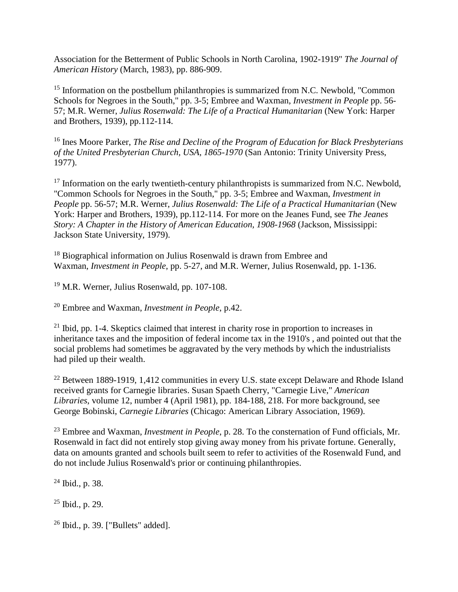Association for the Betterment of Public Schools in North Carolina, 1902-1919" *The Journal of American History* (March, 1983), pp. 886-909.

<sup>15</sup> Information on the postbellum philanthropies is summarized from N.C. Newbold, "Common" Schools for Negroes in the South," pp. 3-5; Embree and Waxman, *Investment in People* pp. 56- 57; M.R. Werner, *Julius Rosenwald: The Life of a Practical Humanitarian* (New York: Harper and Brothers, 1939), pp.112-114.

<sup>16</sup> Ines Moore Parker, *The Rise and Decline of the Program of Education for Black Presbyterians of the United Presbyterian Church, USA, 1865-1970* (San Antonio: Trinity University Press, 1977).

<sup>17</sup> Information on the early twentieth-century philanthropists is summarized from N.C. Newbold, "Common Schools for Negroes in the South," pp. 3-5; Embree and Waxman, *Investment in People* pp. 56-57; M.R. Werner, *Julius Rosenwald: The Life of a Practical Humanitarian* (New York: Harper and Brothers, 1939), pp.112-114. For more on the Jeanes Fund, see *The Jeanes Story: A Chapter in the History of American Education, 1908-1968* (Jackson, Mississippi: Jackson State University, 1979).

<sup>18</sup> Biographical information on Julius Rosenwald is drawn from Embree and Waxman, *Investment in People*, pp. 5-27, and M.R. Werner, Julius Rosenwald, pp. 1-136.

<sup>19</sup> M.R. Werner, Julius Rosenwald, pp. 107-108.

<sup>20</sup> Embree and Waxman, *Investment in People*, p.42.

 $21$  Ibid, pp. 1-4. Skeptics claimed that interest in charity rose in proportion to increases in inheritance taxes and the imposition of federal income tax in the 1910's , and pointed out that the social problems had sometimes be aggravated by the very methods by which the industrialists had piled up their wealth.

<sup>22</sup> Between 1889-1919, 1,412 communities in every U.S. state except Delaware and Rhode Island received grants for Carnegie libraries. Susan Spaeth Cherry, "Carnegie Live," *American Libraries*, volume 12, number 4 (April 1981), pp. 184-188, 218. For more background, see George Bobinski, *Carnegie Libraries* (Chicago: American Library Association, 1969).

<sup>23</sup> Embree and Waxman, *Investment in People*, p. 28. To the consternation of Fund officials, Mr. Rosenwald in fact did not entirely stop giving away money from his private fortune. Generally, data on amounts granted and schools built seem to refer to activities of the Rosenwald Fund, and do not include Julius Rosenwald's prior or continuing philanthropies.

<sup>24</sup> Ibid., p. 38.

 $25$  Ibid., p. 29.

<sup>26</sup> Ibid., p. 39. ["Bullets" added].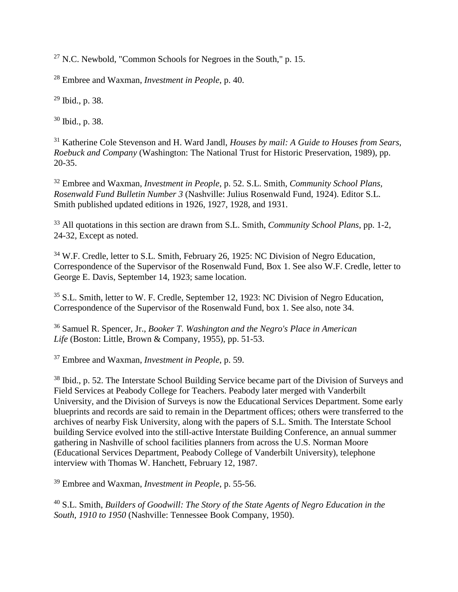<sup>27</sup> N.C. Newbold, "Common Schools for Negroes in the South," p. 15.

<sup>28</sup> Embree and Waxman, *Investment in People*, p. 40.

<sup>29</sup> Ibid., p. 38.

<sup>30</sup> Ibid., p. 38.

<sup>31</sup> Katherine Cole Stevenson and H. Ward Jandl, *Houses by mail: A Guide to Houses from Sears, Roebuck and Company* (Washington: The National Trust for Historic Preservation, 1989), pp. 20-35.

<sup>32</sup> Embree and Waxman, *Investment in People*, p. 52. S.L. Smith, *Community School Plans, Rosenwald Fund Bulletin Number 3* (Nashville: Julius Rosenwald Fund, 1924). Editor S.L. Smith published updated editions in 1926, 1927, 1928, and 1931.

<sup>33</sup> All quotations in this section are drawn from S.L. Smith, *Community School Plans*, pp. 1-2, 24-32, Except as noted.

<sup>34</sup> W.F. Credle, letter to S.L. Smith, February 26, 1925: NC Division of Negro Education, Correspondence of the Supervisor of the Rosenwald Fund, Box 1. See also W.F. Credle, letter to George E. Davis, September 14, 1923; same location.

<sup>35</sup> S.L. Smith, letter to W. F. Credle, September 12, 1923: NC Division of Negro Education, Correspondence of the Supervisor of the Rosenwald Fund, box 1. See also, note 34.

<sup>36</sup> Samuel R. Spencer, Jr., *Booker T. Washington and the Negro's Place in American Life* (Boston: Little, Brown & Company, 1955), pp. 51-53.

<sup>37</sup> Embree and Waxman, *Investment in People*, p. 59.

<sup>38</sup> Ibid., p. 52. The Interstate School Building Service became part of the Division of Surveys and Field Services at Peabody College for Teachers. Peabody later merged with Vanderbilt University, and the Division of Surveys is now the Educational Services Department. Some early blueprints and records are said to remain in the Department offices; others were transferred to the archives of nearby Fisk University, along with the papers of S.L. Smith. The Interstate School building Service evolved into the still-active Interstate Building Conference, an annual summer gathering in Nashville of school facilities planners from across the U.S. Norman Moore (Educational Services Department, Peabody College of Vanderbilt University), telephone interview with Thomas W. Hanchett, February 12, 1987.

<sup>39</sup> Embree and Waxman, *Investment in People*, p. 55-56.

<sup>40</sup> S.L. Smith, *Builders of Goodwill: The Story of the State Agents of Negro Education in the South, 1910 to 1950* (Nashville: Tennessee Book Company, 1950).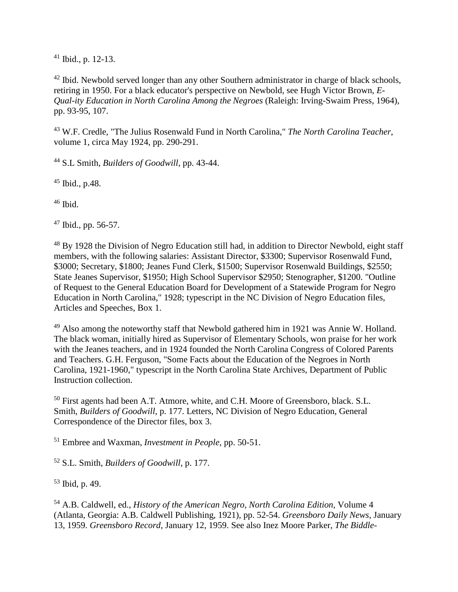$41$  Ibid., p. 12-13.

<sup>42</sup> Ibid. Newbold served longer than any other Southern administrator in charge of black schools, retiring in 1950. For a black educator's perspective on Newbold, see Hugh Victor Brown, *E-Qual-ity Education in North Carolina Among the Negroes* (Raleigh: Irving-Swaim Press, 1964), pp. 93-95, 107.

<sup>43</sup> W.F. Credle, "The Julius Rosenwald Fund in North Carolina," *The North Carolina Teacher*, volume 1, circa May 1924, pp. 290-291.

<sup>44</sup> S.L Smith, *Builders of Goodwill*, pp. 43-44.

<sup>45</sup> Ibid., p.48.

 $46$  Ibid.

<sup>47</sup> Ibid., pp. 56-57.

<sup>48</sup> By 1928 the Division of Negro Education still had, in addition to Director Newbold, eight staff members, with the following salaries: Assistant Director, \$3300; Supervisor Rosenwald Fund, \$3000; Secretary, \$1800; Jeanes Fund Clerk, \$1500; Supervisor Rosenwald Buildings, \$2550; State Jeanes Supervisor, \$1950; High School Supervisor \$2950; Stenographer, \$1200. "Outline of Request to the General Education Board for Development of a Statewide Program for Negro Education in North Carolina," 1928; typescript in the NC Division of Negro Education files, Articles and Speeches, Box 1.

<sup>49</sup> Also among the noteworthy staff that Newbold gathered him in 1921 was Annie W. Holland. The black woman, initially hired as Supervisor of Elementary Schools, won praise for her work with the Jeanes teachers, and in 1924 founded the North Carolina Congress of Colored Parents and Teachers. G.H. Ferguson, "Some Facts about the Education of the Negroes in North Carolina, 1921-1960," typescript in the North Carolina State Archives, Department of Public Instruction collection.

<sup>50</sup> First agents had been A.T. Atmore, white, and C.H. Moore of Greensboro, black. S.L. Smith, *Builders of Goodwill*, p. 177. Letters, NC Division of Negro Education, General Correspondence of the Director files, box 3.

<sup>51</sup> Embree and Waxman, *Investment in People*, pp. 50-51.

<sup>52</sup> S.L. Smith, *Builders of Goodwill*, p. 177.

<sup>53</sup> Ibid, p. 49.

<sup>54</sup> A.B. Caldwell, ed., *History of the American Negro, North Carolina Edition,* Volume 4 (Atlanta, Georgia: A.B. Caldwell Publishing, 1921), pp. 52-54. *Greensboro Daily News*, January 13, 1959. *Greensboro Record*, January 12, 1959. See also Inez Moore Parker, *The Biddle-*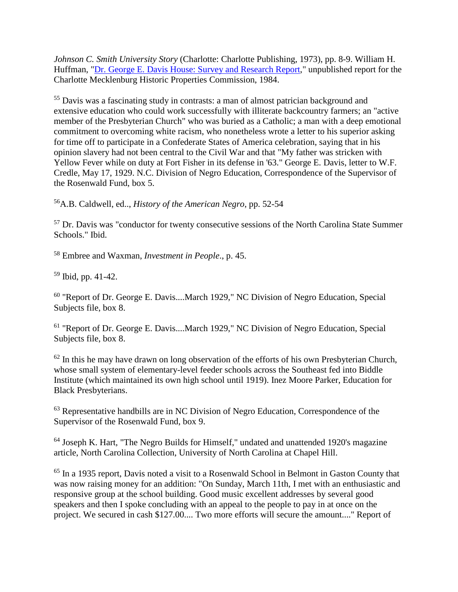*Johnson C. Smith University Story* (Charlotte: Charlotte Publishing, 1973), pp. 8-9. William H. Huffman, "Dr. George E. Davis House: Survey and Research Report," unpublished report for the Charlotte Mecklenburg Historic Properties Commission, 1984.

55 Davis was a fascinating study in contrasts: a man of almost patrician background and extensive education who could work successfully with illiterate backcountry farmers; an "active member of the Presbyterian Church" who was buried as a Catholic; a man with a deep emotional commitment to overcoming white racism, who nonetheless wrote a letter to his superior asking for time off to participate in a Confederate States of America celebration, saying that in his opinion slavery had not been central to the Civil War and that "My father was stricken with Yellow Fever while on duty at Fort Fisher in its defense in '63." George E. Davis, letter to W.F. Credle, May 17, 1929. N.C. Division of Negro Education, Correspondence of the Supervisor of the Rosenwald Fund, box 5.

56A.B. Caldwell, ed.., *History of the American Negro*, pp. 52-54

<sup>57</sup> Dr. Davis was "conductor for twenty consecutive sessions of the North Carolina State Summer Schools." Ibid.

<sup>58</sup> Embree and Waxman, *Investment in People*., p. 45.

59 Ibid, pp. 41-42.

<sup>60</sup> "Report of Dr. George E. Davis....March 1929," NC Division of Negro Education, Special Subjects file, box 8.

<sup>61</sup> "Report of Dr. George E. Davis....March 1929," NC Division of Negro Education, Special Subjects file, box 8.

 $62$  In this he may have drawn on long observation of the efforts of his own Presbyterian Church, whose small system of elementary-level feeder schools across the Southeast fed into Biddle Institute (which maintained its own high school until 1919). Inez Moore Parker, Education for Black Presbyterians.

<sup>63</sup> Representative handbills are in NC Division of Negro Education, Correspondence of the Supervisor of the Rosenwald Fund, box 9.

64 Joseph K. Hart, "The Negro Builds for Himself," undated and unattended 1920's magazine article, North Carolina Collection, University of North Carolina at Chapel Hill.

<sup>65</sup> In a 1935 report, Davis noted a visit to a Rosenwald School in Belmont in Gaston County that was now raising money for an addition: "On Sunday, March 11th, I met with an enthusiastic and responsive group at the school building. Good music excellent addresses by several good speakers and then I spoke concluding with an appeal to the people to pay in at once on the project. We secured in cash \$127.00.... Two more efforts will secure the amount...." Report of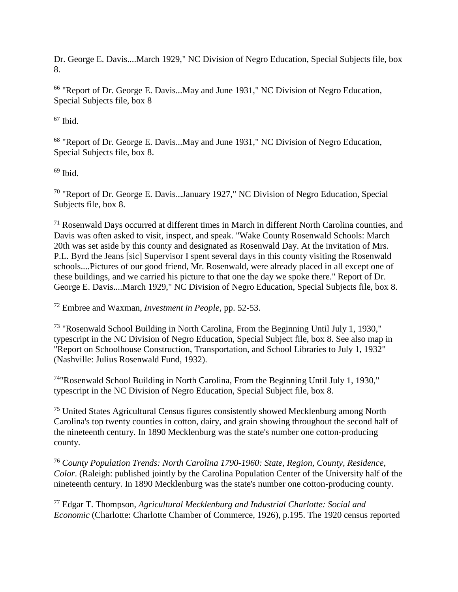Dr. George E. Davis....March 1929," NC Division of Negro Education, Special Subjects file, box 8.

<sup>66</sup> "Report of Dr. George E. Davis...May and June 1931," NC Division of Negro Education, Special Subjects file, box 8

 $67$  Ibid.

<sup>68</sup> "Report of Dr. George E. Davis...May and June 1931," NC Division of Negro Education, Special Subjects file, box 8.

# $69$  Ibid.

<sup>70</sup> "Report of Dr. George E. Davis...January 1927," NC Division of Negro Education, Special Subjects file, box 8.

<sup>71</sup> Rosenwald Days occurred at different times in March in different North Carolina counties, and Davis was often asked to visit, inspect, and speak. "Wake County Rosenwald Schools: March 20th was set aside by this county and designated as Rosenwald Day. At the invitation of Mrs. P.L. Byrd the Jeans [sic] Supervisor I spent several days in this county visiting the Rosenwald schools....Pictures of our good friend, Mr. Rosenwald, were already placed in all except one of these buildings, and we carried his picture to that one the day we spoke there." Report of Dr. George E. Davis....March 1929," NC Division of Negro Education, Special Subjects file, box 8.

# <sup>72</sup> Embree and Waxman, *Investment in People*, pp. 52-53.

<sup>73</sup> "Rosenwald School Building in North Carolina, From the Beginning Until July 1, 1930," typescript in the NC Division of Negro Education, Special Subject file, box 8. See also map in "Report on Schoolhouse Construction, Transportation, and School Libraries to July 1, 1932" (Nashville: Julius Rosenwald Fund, 1932).

74"Rosenwald School Building in North Carolina, From the Beginning Until July 1, 1930," typescript in the NC Division of Negro Education, Special Subject file, box 8.

<sup>75</sup> United States Agricultural Census figures consistently showed Mecklenburg among North Carolina's top twenty counties in cotton, dairy, and grain showing throughout the second half of the nineteenth century. In 1890 Mecklenburg was the state's number one cotton-producing county.

<sup>76</sup> *County Population Trends: North Carolina 1790-1960: State, Region, County, Residence, Color*. (Raleigh: published jointly by the Carolina Population Center of the University half of the nineteenth century. In 1890 Mecklenburg was the state's number one cotton-producing county.

<sup>77</sup> Edgar T. Thompson, *Agricultural Mecklenburg and Industrial Charlotte: Social and Economic* (Charlotte: Charlotte Chamber of Commerce, 1926), p.195. The 1920 census reported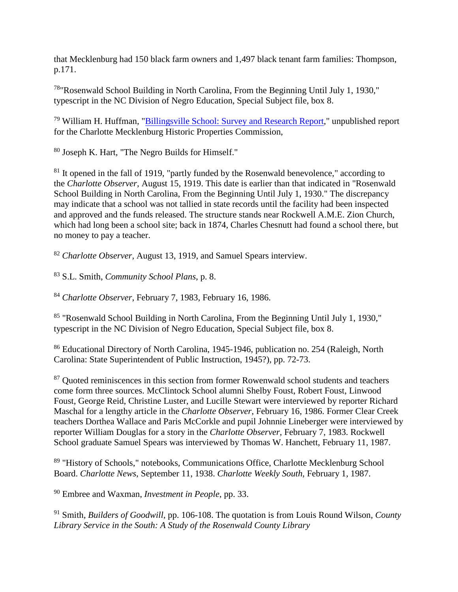that Mecklenburg had 150 black farm owners and 1,497 black tenant farm families: Thompson, p.171.

78"Rosenwald School Building in North Carolina, From the Beginning Until July 1, 1930," typescript in the NC Division of Negro Education, Special Subject file, box 8.

<sup>79</sup> William H. Huffman, "Billingsville School: Survey and Research Report," unpublished report for the Charlotte Mecklenburg Historic Properties Commission,

80 Joseph K. Hart, "The Negro Builds for Himself."

 $81$  It opened in the fall of 1919, "partly funded by the Rosenwald benevolence," according to the *Charlotte Observer*, August 15, 1919. This date is earlier than that indicated in "Rosenwald School Building in North Carolina, From the Beginning Until July 1, 1930." The discrepancy may indicate that a school was not tallied in state records until the facility had been inspected and approved and the funds released. The structure stands near Rockwell A.M.E. Zion Church, which had long been a school site; back in 1874, Charles Chesnutt had found a school there, but no money to pay a teacher.

<sup>82</sup> *Charlotte Observer*, August 13, 1919, and Samuel Spears interview.

83 S.L. Smith, *Community School Plans*, p. 8.

<sup>84</sup> *Charlotte Observer*, February 7, 1983, February 16, 1986.

85 "Rosenwald School Building in North Carolina, From the Beginning Until July 1, 1930," typescript in the NC Division of Negro Education, Special Subject file, box 8.

86 Educational Directory of North Carolina, 1945-1946, publication no. 254 (Raleigh, North Carolina: State Superintendent of Public Instruction, 1945?), pp. 72-73.

<sup>87</sup> Ouoted reminiscences in this section from former Rowenwald school students and teachers come form three sources. McClintock School alumni Shelby Foust, Robert Foust, Linwood Foust, George Reid, Christine Luster, and Lucille Stewart were interviewed by reporter Richard Maschal for a lengthy article in the *Charlotte Observer*, February 16, 1986. Former Clear Creek teachers Dorthea Wallace and Paris McCorkle and pupil Johnnie Lineberger were interviewed by reporter William Douglas for a story in the *Charlotte Observer*, February 7, 1983. Rockwell School graduate Samuel Spears was interviewed by Thomas W. Hanchett, February 11, 1987.

89 "History of Schools," notebooks, Communications Office, Charlotte Mecklenburg School Board. *Charlotte News*, September 11, 1938. *Charlotte Weekly South*, February 1, 1987.

<sup>90</sup> Embree and Waxman, *Investment in People*, pp. 33.

<sup>91</sup> Smith, *Builders of Goodwill*, pp. 106-108. The quotation is from Louis Round Wilson, *County Library Service in the South: A Study of the Rosenwald County Library*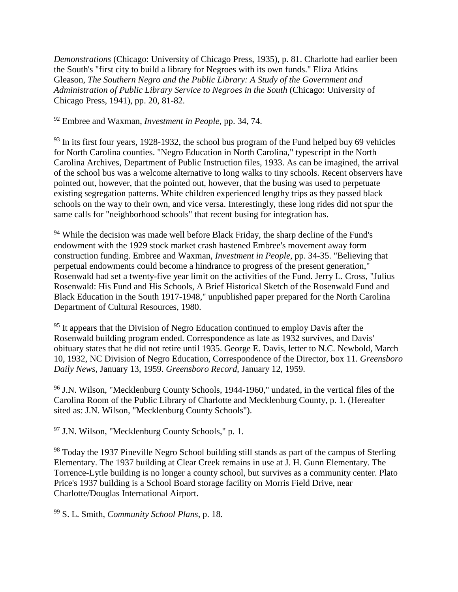*Demonstrations* (Chicago: University of Chicago Press, 1935), p. 81. Charlotte had earlier been the South's "first city to build a library for Negroes with its own funds." Eliza Atkins Gleason, *The Southern Negro and the Public Library: A Study of the Government and Administration of Public Library Service to Negroes in the South* (Chicago: University of Chicago Press, 1941), pp. 20, 81-82.

<sup>92</sup> Embree and Waxman, *Investment in People*, pp. 34, 74.

<sup>93</sup> In its first four years, 1928-1932, the school bus program of the Fund helped buy 69 vehicles for North Carolina counties. "Negro Education in North Carolina," typescript in the North Carolina Archives, Department of Public Instruction files, 1933. As can be imagined, the arrival of the school bus was a welcome alternative to long walks to tiny schools. Recent observers have pointed out, however, that the pointed out, however, that the busing was used to perpetuate existing segregation patterns. White children experienced lengthy trips as they passed black schools on the way to their own, and vice versa. Interestingly, these long rides did not spur the same calls for "neighborhood schools" that recent busing for integration has.

<sup>94</sup> While the decision was made well before Black Friday, the sharp decline of the Fund's endowment with the 1929 stock market crash hastened Embree's movement away form construction funding. Embree and Waxman, *Investment in People*, pp. 34-35. "Believing that perpetual endowments could become a hindrance to progress of the present generation," Rosenwald had set a twenty-five year limit on the activities of the Fund. Jerry L. Cross, "Julius Rosenwald: His Fund and His Schools, A Brief Historical Sketch of the Rosenwald Fund and Black Education in the South 1917-1948," unpublished paper prepared for the North Carolina Department of Cultural Resources, 1980.

<sup>95</sup> It appears that the Division of Negro Education continued to employ Davis after the Rosenwald building program ended. Correspondence as late as 1932 survives, and Davis' obituary states that he did not retire until 1935. George E. Davis, letter to N.C. Newbold, March 10, 1932, NC Division of Negro Education, Correspondence of the Director, box 11. *Greensboro Daily News*, January 13, 1959. *Greensboro Record*, January 12, 1959.

<sup>96</sup> J.N. Wilson, "Mecklenburg County Schools, 1944-1960," undated, in the vertical files of the Carolina Room of the Public Library of Charlotte and Mecklenburg County, p. 1. (Hereafter sited as: J.N. Wilson, "Mecklenburg County Schools").

<sup>97</sup> J.N. Wilson, "Mecklenburg County Schools," p. 1.

<sup>98</sup> Today the 1937 Pineville Negro School building still stands as part of the campus of Sterling Elementary. The 1937 building at Clear Creek remains in use at J. H. Gunn Elementary. The Torrence-Lytle building is no longer a county school, but survives as a community center. Plato Price's 1937 building is a School Board storage facility on Morris Field Drive, near Charlotte/Douglas International Airport.

<sup>99</sup> S. L. Smith, *Community School Plans*, p. 18.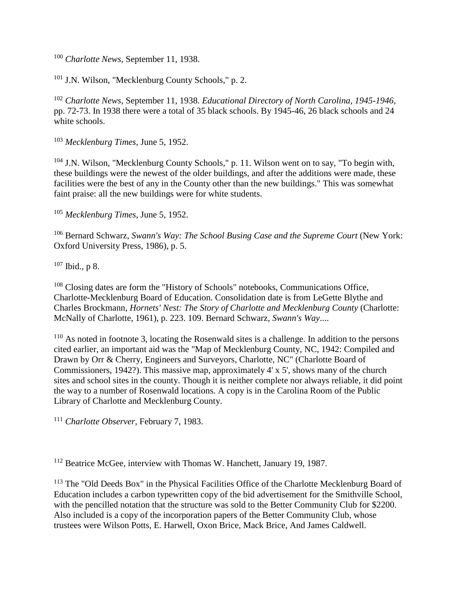<sup>100</sup> *Charlotte News*, September 11, 1938.

<sup>101</sup> J.N. Wilson, "Mecklenburg County Schools," p. 2.

<sup>102</sup> *Charlotte News*, September 11, 1938. *Educational Directory of North Carolina, 1945-1946*, pp. 72-73. In 1938 there were a total of 35 black schools. By 1945-46, 26 black schools and 24 white schools.

<sup>103</sup> *Mecklenburg Times*, June 5, 1952.

<sup>104</sup> J.N. Wilson, "Mecklenburg County Schools," p. 11. Wilson went on to say, "To begin with, these buildings were the newest of the older buildings, and after the additions were made, these facilities were the best of any in the County other than the new buildings." This was somewhat faint praise: all the new buildings were for white students.

<sup>105</sup> *Mecklenburg Times*, June 5, 1952.

<sup>106</sup> Bernard Schwarz, *Swann's Way: The School Busing Case and the Supreme Court* (New York: Oxford University Press, 1986), p. 5.

 $107$  Ibid., p 8.

<sup>108</sup> Closing dates are form the "History of Schools" notebooks, Communications Office, Charlotte-Mecklenburg Board of Education. Consolidation date is from LeGette Blythe and Charles Brockmann, *Hornets' Nest: The Story of Charlotte and Mecklenburg County* (Charlotte: McNally of Charlotte, 1961), p. 223. 109. Bernard Schwarz, *Swann's Way*....

<sup>110</sup> As noted in footnote 3, locating the Rosenwald sites is a challenge. In addition to the persons cited earlier, an important aid was the "Map of Mecklenburg County, NC, 1942: Compiled and Drawn by Orr & Cherry, Engineers and Surveyors, Charlotte, NC" (Charlotte Board of Commissioners, 1942?). This massive map, approximately 4' x 5', shows many of the church sites and school sites in the county. Though it is neither complete nor always reliable, it did point the way to a number of Rosenwald locations. A copy is in the Carolina Room of the Public Library of Charlotte and Mecklenburg County.

<sup>111</sup> *Charlotte Observer*, February 7, 1983.

<sup>112</sup> Beatrice McGee, interview with Thomas W. Hanchett, January 19, 1987.

<sup>113</sup> The "Old Deeds Box" in the Physical Facilities Office of the Charlotte Mecklenburg Board of Education includes a carbon typewritten copy of the bid advertisement for the Smithville School, with the pencilled notation that the structure was sold to the Better Community Club for \$2200. Also included is a copy of the incorporation papers of the Better Community Club, whose trustees were Wilson Potts, E. Harwell, Oxon Brice, Mack Brice, And James Caldwell.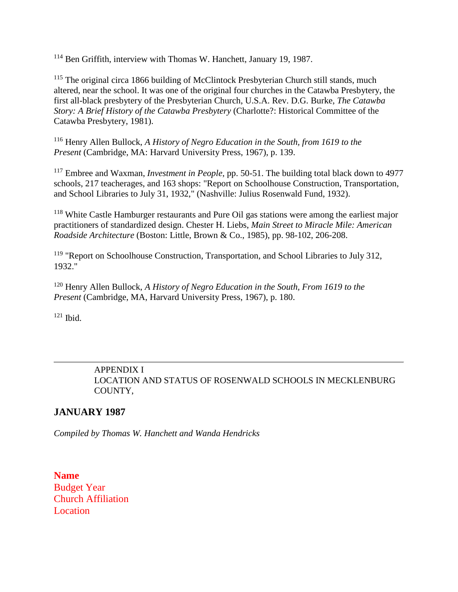<sup>114</sup> Ben Griffith, interview with Thomas W. Hanchett, January 19, 1987.

<sup>115</sup> The original circa 1866 building of McClintock Presbyterian Church still stands, much altered, near the school. It was one of the original four churches in the Catawba Presbytery, the first all-black presbytery of the Presbyterian Church, U.S.A. Rev. D.G. Burke, *The Catawba Story: A Brief History of the Catawba Presbytery* (Charlotte?: Historical Committee of the Catawba Presbytery, 1981).

<sup>116</sup> Henry Allen Bullock, *A History of Negro Education in the South, from 1619 to the Present* (Cambridge, MA: Harvard University Press, 1967), p. 139.

<sup>117</sup> Embree and Waxman, *Investment in People*, pp. 50-51. The building total black down to 4977 schools, 217 teacherages, and 163 shops: "Report on Schoolhouse Construction, Transportation, and School Libraries to July 31, 1932," (Nashville: Julius Rosenwald Fund, 1932).

<sup>118</sup> White Castle Hamburger restaurants and Pure Oil gas stations were among the earliest major practitioners of standardized design. Chester H. Liebs, *Main Street to Miracle Mile: American Roadside Architecture* (Boston: Little, Brown & Co., 1985), pp. 98-102, 206-208.

<sup>119</sup> "Report on Schoolhouse Construction, Transportation, and School Libraries to July 312, 1932."

<sup>120</sup> Henry Allen Bullock, *A History of Negro Education in the South, From 1619 to the Present* (Cambridge, MA, Harvard University Press, 1967), p. 180.

 $121$  Ibid.

# APPENDIX I LOCATION AND STATUS OF ROSENWALD SCHOOLS IN MECKLENBURG COUNTY,

# **JANUARY 1987**

*Compiled by Thomas W. Hanchett and Wanda Hendricks*

**Name** Budget Year Church Affiliation **Location**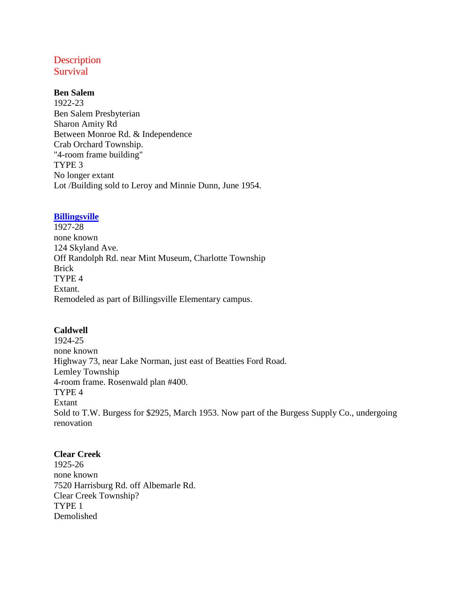# **Description** Survival

#### **Ben Salem**

1922-23 Ben Salem Presbyterian Sharon Amity Rd Between Monroe Rd. & Independence Crab Orchard Township. "4-room frame building" TYPE 3 No longer extant Lot /Building sold to Leroy and Minnie Dunn, June 1954.

### **Billingsville**

1927-28 none known 124 Skyland Ave. Off Randolph Rd. near Mint Museum, Charlotte Township Brick TYPE 4 Extant. Remodeled as part of Billingsville Elementary campus.

### **Caldwell**

1924-25 none known Highway 73, near Lake Norman, just east of Beatties Ford Road. Lemley Township 4-room frame. Rosenwald plan #400. TYPE 4 Extant Sold to T.W. Burgess for \$2925, March 1953. Now part of the Burgess Supply Co., undergoing renovation

### **Clear Creek**

1925-26 none known 7520 Harrisburg Rd. off Albemarle Rd. Clear Creek Township? TYPE 1 Demolished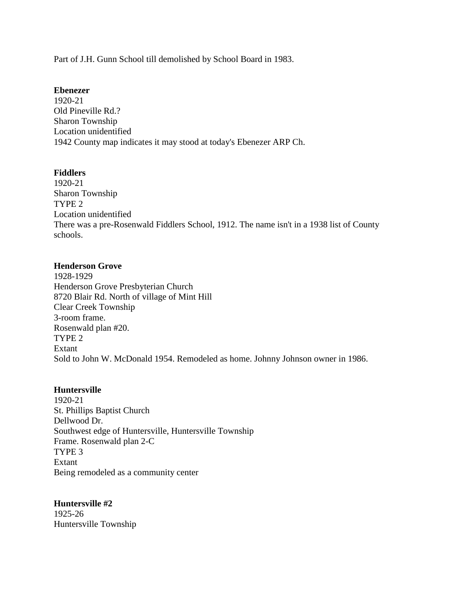Part of J.H. Gunn School till demolished by School Board in 1983.

#### **Ebenezer**

1920-21 Old Pineville Rd.? Sharon Township Location unidentified 1942 County map indicates it may stood at today's Ebenezer ARP Ch.

### **Fiddlers**

1920-21 Sharon Township TYPE 2 Location unidentified There was a pre-Rosenwald Fiddlers School, 1912. The name isn't in a 1938 list of County schools.

### **Henderson Grove**

1928-1929 Henderson Grove Presbyterian Church 8720 Blair Rd. North of village of Mint Hill Clear Creek Township 3-room frame. Rosenwald plan #20. TYPE 2 Extant Sold to John W. McDonald 1954. Remodeled as home. Johnny Johnson owner in 1986.

### **Huntersville**

1920-21 St. Phillips Baptist Church Dellwood Dr. Southwest edge of Huntersville, Huntersville Township Frame. Rosenwald plan 2-C TYPE 3 Extant Being remodeled as a community center

# **Huntersville #2**

1925-26 Huntersville Township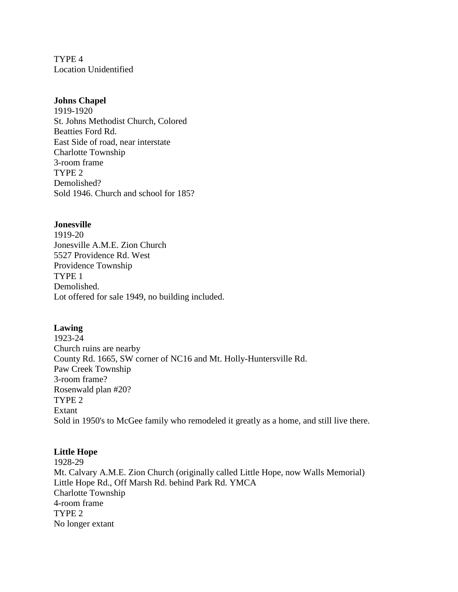TYPE 4 Location Unidentified

#### **Johns Chapel**

1919-1920 St. Johns Methodist Church, Colored Beatties Ford Rd. East Side of road, near interstate Charlotte Township 3-room frame TYPE 2 Demolished? Sold 1946. Church and school for 185?

#### **Jonesville**

1919-20 Jonesville A.M.E. Zion Church 5527 Providence Rd. West Providence Township TYPE 1 Demolished. Lot offered for sale 1949, no building included.

### **Lawing**

1923-24 Church ruins are nearby County Rd. 1665, SW corner of NC16 and Mt. Holly-Huntersville Rd. Paw Creek Township 3-room frame? Rosenwald plan #20? TYPE 2 Extant Sold in 1950's to McGee family who remodeled it greatly as a home, and still live there.

### **Little Hope**

1928-29 Mt. Calvary A.M.E. Zion Church (originally called Little Hope, now Walls Memorial) Little Hope Rd., Off Marsh Rd. behind Park Rd. YMCA Charlotte Township 4-room frame TYPE 2 No longer extant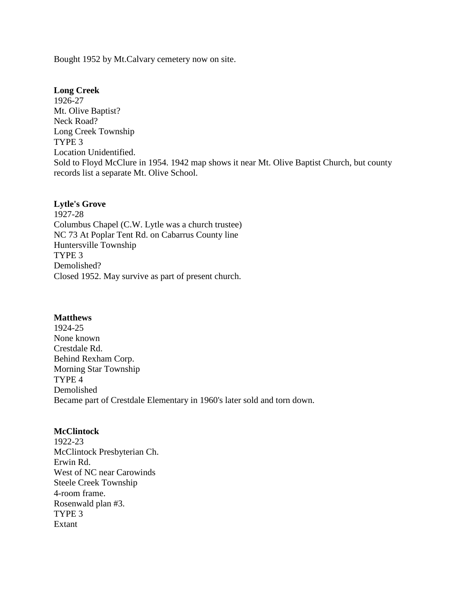Bought 1952 by Mt.Calvary cemetery now on site.

#### **Long Creek**

1926-27 Mt. Olive Baptist? Neck Road? Long Creek Township TYPE 3 Location Unidentified. Sold to Floyd McClure in 1954. 1942 map shows it near Mt. Olive Baptist Church, but county records list a separate Mt. Olive School.

#### **Lytle's Grove**

1927-28 Columbus Chapel (C.W. Lytle was a church trustee) NC 73 At Poplar Tent Rd. on Cabarrus County line Huntersville Township TYPE 3 Demolished? Closed 1952. May survive as part of present church.

#### **Matthews**

1924-25 None known Crestdale Rd. Behind Rexham Corp. Morning Star Township TYPE 4 Demolished Became part of Crestdale Elementary in 1960's later sold and torn down.

#### **McClintock**

1922-23 McClintock Presbyterian Ch. Erwin Rd. West of NC near Carowinds Steele Creek Township 4-room frame. Rosenwald plan #3. TYPE 3 Extant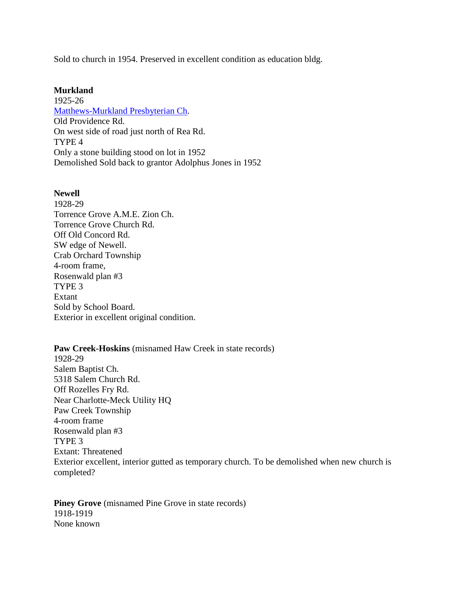Sold to church in 1954. Preserved in excellent condition as education bldg.

#### **Murkland**

1925-26 Matthews-Murkland Presbyterian Ch. Old Providence Rd. On west side of road just north of Rea Rd. TYPE 4 Only a stone building stood on lot in 1952 Demolished Sold back to grantor Adolphus Jones in 1952

#### **Newell**

1928-29 Torrence Grove A.M.E. Zion Ch. Torrence Grove Church Rd. Off Old Concord Rd. SW edge of Newell. Crab Orchard Township 4-room frame, Rosenwald plan #3 TYPE 3 Extant Sold by School Board. Exterior in excellent original condition.

**Paw Creek-Hoskins** (misnamed Haw Creek in state records) 1928-29 Salem Baptist Ch. 5318 Salem Church Rd. Off Rozelles Fry Rd. Near Charlotte-Meck Utility HQ Paw Creek Township 4-room frame Rosenwald plan #3 TYPE 3 Extant: Threatened Exterior excellent, interior gutted as temporary church. To be demolished when new church is completed?

**Piney Grove** (misnamed Pine Grove in state records) 1918-1919 None known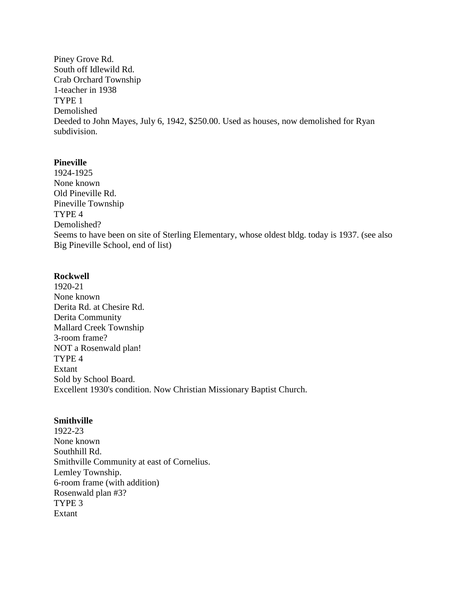Piney Grove Rd. South off Idlewild Rd. Crab Orchard Township 1-teacher in 1938 TYPE 1 Demolished Deeded to John Mayes, July 6, 1942, \$250.00. Used as houses, now demolished for Ryan subdivision.

#### **Pineville**

1924-1925 None known Old Pineville Rd. Pineville Township TYPE 4 Demolished? Seems to have been on site of Sterling Elementary, whose oldest bldg. today is 1937. (see also Big Pineville School, end of list)

#### **Rockwell**

1920-21 None known Derita Rd. at Chesire Rd. Derita Community Mallard Creek Township 3-room frame? NOT a Rosenwald plan! TYPE 4 Extant Sold by School Board. Excellent 1930's condition. Now Christian Missionary Baptist Church.

#### **Smithville**

1922-23 None known Southhill Rd. Smithville Community at east of Cornelius. Lemley Township. 6-room frame (with addition) Rosenwald plan #3? TYPE 3 Extant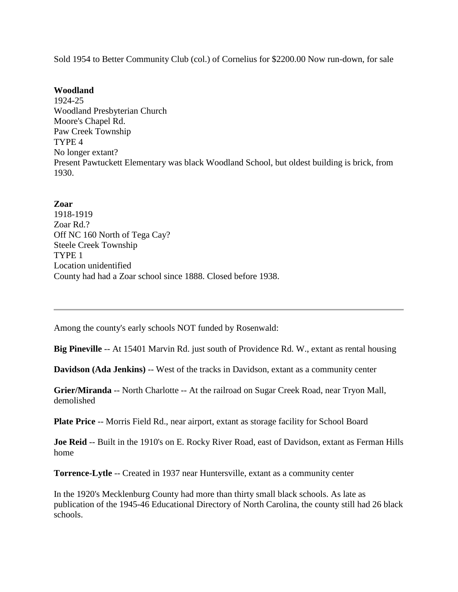Sold 1954 to Better Community Club (col.) of Cornelius for \$2200.00 Now run-down, for sale

#### **Woodland**

1924-25 Woodland Presbyterian Church Moore's Chapel Rd. Paw Creek Township TYPE 4 No longer extant? Present Pawtuckett Elementary was black Woodland School, but oldest building is brick, from 1930.

**Zoar** 1918-1919 Zoar Rd.? Off NC 160 North of Tega Cay? Steele Creek Township TYPE 1 Location unidentified County had had a Zoar school since 1888. Closed before 1938.

Among the county's early schools NOT funded by Rosenwald:

**Big Pineville** -- At 15401 Marvin Rd. just south of Providence Rd. W., extant as rental housing

**Davidson (Ada Jenkins)** -- West of the tracks in Davidson, extant as a community center

**Grier/Miranda** -- North Charlotte -- At the railroad on Sugar Creek Road, near Tryon Mall, demolished

**Plate Price** -- Morris Field Rd., near airport, extant as storage facility for School Board

**Joe Reid** -- Built in the 1910's on E. Rocky River Road, east of Davidson, extant as Ferman Hills home

**Torrence-Lytle** -- Created in 1937 near Huntersville, extant as a community center

In the 1920's Mecklenburg County had more than thirty small black schools. As late as publication of the 1945-46 Educational Directory of North Carolina, the county still had 26 black schools.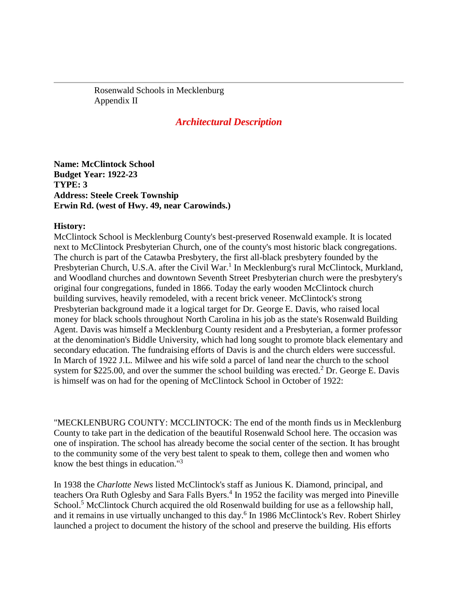Rosenwald Schools in Mecklenburg Appendix II

# *Architectural Description*

**Name: McClintock School Budget Year: 1922-23 TYPE: 3 Address: Steele Creek Township Erwin Rd. (west of Hwy. 49, near Carowinds.)**

#### **History:**

McClintock School is Mecklenburg County's best-preserved Rosenwald example. It is located next to McClintock Presbyterian Church, one of the county's most historic black congregations. The church is part of the Catawba Presbytery, the first all-black presbytery founded by the Presbyterian Church, U.S.A. after the Civil War.<sup>1</sup> In Mecklenburg's rural McClintock, Murkland, and Woodland churches and downtown Seventh Street Presbyterian church were the presbytery's original four congregations, funded in 1866. Today the early wooden McClintock church building survives, heavily remodeled, with a recent brick veneer. McClintock's strong Presbyterian background made it a logical target for Dr. George E. Davis, who raised local money for black schools throughout North Carolina in his job as the state's Rosenwald Building Agent. Davis was himself a Mecklenburg County resident and a Presbyterian, a former professor at the denomination's Biddle University, which had long sought to promote black elementary and secondary education. The fundraising efforts of Davis is and the church elders were successful. In March of 1922 J.L. Milwee and his wife sold a parcel of land near the church to the school system for \$225.00, and over the summer the school building was erected.<sup>2</sup> Dr. George E. Davis is himself was on had for the opening of McClintock School in October of 1922:

"MECKLENBURG COUNTY: MCCLINTOCK: The end of the month finds us in Mecklenburg County to take part in the dedication of the beautiful Rosenwald School here. The occasion was one of inspiration. The school has already become the social center of the section. It has brought to the community some of the very best talent to speak to them, college then and women who know the best things in education."3

In 1938 the *Charlotte News* listed McClintock's staff as Junious K. Diamond, principal, and teachers Ora Ruth Oglesby and Sara Falls Byers.<sup>4</sup> In 1952 the facility was merged into Pineville School.<sup>5</sup> McClintock Church acquired the old Rosenwald building for use as a fellowship hall, and it remains in use virtually unchanged to this day.<sup>6</sup> In 1986 McClintock's Rev. Robert Shirley launched a project to document the history of the school and preserve the building. His efforts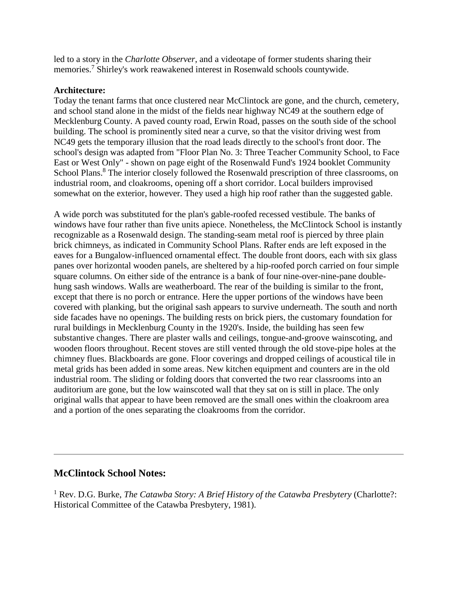led to a story in the *Charlotte Observer*, and a videotape of former students sharing their memories.7 Shirley's work reawakened interest in Rosenwald schools countywide.

### **Architecture:**

Today the tenant farms that once clustered near McClintock are gone, and the church, cemetery, and school stand alone in the midst of the fields near highway NC49 at the southern edge of Mecklenburg County. A paved county road, Erwin Road, passes on the south side of the school building. The school is prominently sited near a curve, so that the visitor driving west from NC49 gets the temporary illusion that the road leads directly to the school's front door. The school's design was adapted from "Floor Plan No. 3: Three Teacher Community School, to Face East or West Only" - shown on page eight of the Rosenwald Fund's 1924 booklet Community School Plans.<sup>8</sup> The interior closely followed the Rosenwald prescription of three classrooms, on industrial room, and cloakrooms, opening off a short corridor. Local builders improvised somewhat on the exterior, however. They used a high hip roof rather than the suggested gable.

A wide porch was substituted for the plan's gable-roofed recessed vestibule. The banks of windows have four rather than five units apiece. Nonetheless, the McClintock School is instantly recognizable as a Rosenwald design. The standing-seam metal roof is pierced by three plain brick chimneys, as indicated in Community School Plans. Rafter ends are left exposed in the eaves for a Bungalow-influenced ornamental effect. The double front doors, each with six glass panes over horizontal wooden panels, are sheltered by a hip-roofed porch carried on four simple square columns. On either side of the entrance is a bank of four nine-over-nine-pane doublehung sash windows. Walls are weatherboard. The rear of the building is similar to the front, except that there is no porch or entrance. Here the upper portions of the windows have been covered with planking, but the original sash appears to survive underneath. The south and north side facades have no openings. The building rests on brick piers, the customary foundation for rural buildings in Mecklenburg County in the 1920's. Inside, the building has seen few substantive changes. There are plaster walls and ceilings, tongue-and-groove wainscoting, and wooden floors throughout. Recent stoves are still vented through the old stove-pipe holes at the chimney flues. Blackboards are gone. Floor coverings and dropped ceilings of acoustical tile in metal grids has been added in some areas. New kitchen equipment and counters are in the old industrial room. The sliding or folding doors that converted the two rear classrooms into an auditorium are gone, but the low wainscoted wall that they sat on is still in place. The only original walls that appear to have been removed are the small ones within the cloakroom area and a portion of the ones separating the cloakrooms from the corridor.

# **McClintock School Notes:**

<sup>1</sup> Rev. D.G. Burke, *The Catawba Story: A Brief History of the Catawba Presbytery* (Charlotte?: Historical Committee of the Catawba Presbytery, 1981).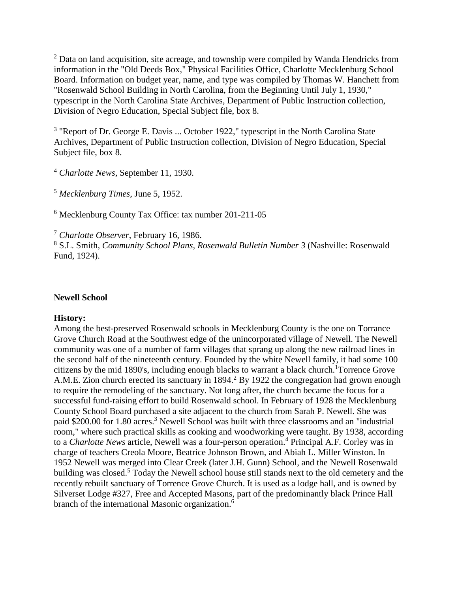<sup>2</sup> Data on land acquisition, site acreage, and township were compiled by Wanda Hendricks from information in the "Old Deeds Box," Physical Facilities Office, Charlotte Mecklenburg School Board. Information on budget year, name, and type was compiled by Thomas W. Hanchett from "Rosenwald School Building in North Carolina, from the Beginning Until July 1, 1930," typescript in the North Carolina State Archives, Department of Public Instruction collection, Division of Negro Education, Special Subject file, box 8.

<sup>3</sup> "Report of Dr. George E. Davis ... October 1922," typescript in the North Carolina State Archives, Department of Public Instruction collection, Division of Negro Education, Special Subject file, box 8.

<sup>4</sup> *Charlotte News*, September 11, 1930.

<sup>5</sup> *Mecklenburg Times*, June 5, 1952.

<sup>6</sup> Mecklenburg County Tax Office: tax number 201-211-05

<sup>7</sup> *Charlotte Observer*, February 16, 1986.

<sup>8</sup> S.L. Smith, *Community School Plans, Rosenwald Bulletin Number 3* (Nashville: Rosenwald Fund, 1924).

#### **Newell School**

### **History:**

Among the best-preserved Rosenwald schools in Mecklenburg County is the one on Torrance Grove Church Road at the Southwest edge of the unincorporated village of Newell. The Newell community was one of a number of farm villages that sprang up along the new railroad lines in the second half of the nineteenth century. Founded by the white Newell family, it had some 100 citizens by the mid 1890's, including enough blacks to warrant a black church.<sup>1</sup>Torrence Grove A.M.E. Zion church erected its sanctuary in 1894.<sup>2</sup> By 1922 the congregation had grown enough to require the remodeling of the sanctuary. Not long after, the church became the focus for a successful fund-raising effort to build Rosenwald school. In February of 1928 the Mecklenburg County School Board purchased a site adjacent to the church from Sarah P. Newell. She was paid \$200.00 for 1.80 acres.<sup>3</sup> Newell School was built with three classrooms and an "industrial" room," where such practical skills as cooking and woodworking were taught. By 1938, according to a *Charlotte News* article, Newell was a four-person operation.<sup>4</sup> Principal A.F. Corley was in charge of teachers Creola Moore, Beatrice Johnson Brown, and Abiah L. Miller Winston. In 1952 Newell was merged into Clear Creek (later J.H. Gunn) School, and the Newell Rosenwald building was closed.<sup>5</sup> Today the Newell school house still stands next to the old cemetery and the recently rebuilt sanctuary of Torrence Grove Church. It is used as a lodge hall, and is owned by Silverset Lodge #327, Free and Accepted Masons, part of the predominantly black Prince Hall branch of the international Masonic organization.6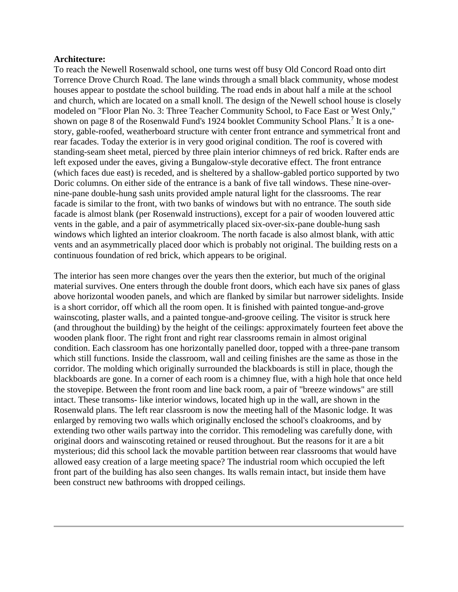#### **Architecture:**

To reach the Newell Rosenwald school, one turns west off busy Old Concord Road onto dirt Torrence Drove Church Road. The lane winds through a small black community, whose modest houses appear to postdate the school building. The road ends in about half a mile at the school and church, which are located on a small knoll. The design of the Newell school house is closely modeled on "Floor Plan No. 3: Three Teacher Community School, to Face East or West Only," shown on page 8 of the Rosenwald Fund's 1924 booklet Community School Plans.<sup>7</sup> It is a onestory, gable-roofed, weatherboard structure with center front entrance and symmetrical front and rear facades. Today the exterior is in very good original condition. The roof is covered with standing-seam sheet metal, pierced by three plain interior chimneys of red brick. Rafter ends are left exposed under the eaves, giving a Bungalow-style decorative effect. The front entrance (which faces due east) is receded, and is sheltered by a shallow-gabled portico supported by two Doric columns. On either side of the entrance is a bank of five tall windows. These nine-overnine-pane double-hung sash units provided ample natural light for the classrooms. The rear facade is similar to the front, with two banks of windows but with no entrance. The south side facade is almost blank (per Rosenwald instructions), except for a pair of wooden louvered attic vents in the gable, and a pair of asymmetrically placed six-over-six-pane double-hung sash windows which lighted an interior cloakroom. The north facade is also almost blank, with attic vents and an asymmetrically placed door which is probably not original. The building rests on a continuous foundation of red brick, which appears to be original.

The interior has seen more changes over the years then the exterior, but much of the original material survives. One enters through the double front doors, which each have six panes of glass above horizontal wooden panels, and which are flanked by similar but narrower sidelights. Inside is a short corridor, off which all the room open. It is finished with painted tongue-and-grove wainscoting, plaster walls, and a painted tongue-and-groove ceiling. The visitor is struck here (and throughout the building) by the height of the ceilings: approximately fourteen feet above the wooden plank floor. The right front and right rear classrooms remain in almost original condition. Each classroom has one horizontally panelled door, topped with a three-pane transom which still functions. Inside the classroom, wall and ceiling finishes are the same as those in the corridor. The molding which originally surrounded the blackboards is still in place, though the blackboards are gone. In a corner of each room is a chimney flue, with a high hole that once held the stovepipe. Between the front room and line back room, a pair of "breeze windows" are still intact. These transoms- like interior windows, located high up in the wall, are shown in the Rosenwald plans. The left rear classroom is now the meeting hall of the Masonic lodge. It was enlarged by removing two walls which originally enclosed the school's cloakrooms, and by extending two other wails partway into the corridor. This remodeling was carefully done, with original doors and wainscoting retained or reused throughout. But the reasons for it are a bit mysterious; did this school lack the movable partition between rear classrooms that would have allowed easy creation of a large meeting space? The industrial room which occupied the left front part of the building has also seen changes. Its walls remain intact, but inside them have been construct new bathrooms with dropped ceilings.